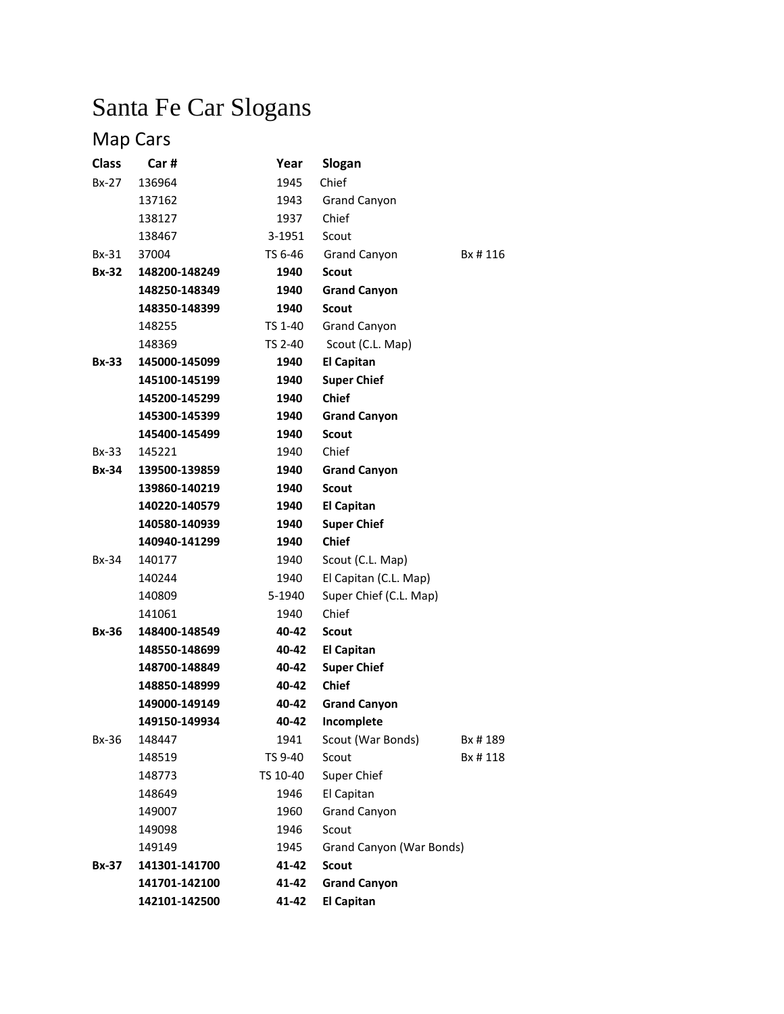# Santa Fe Car Slogans

# Map Cars

| <b>Class</b> | Car#          | Year     | Slogan                   |         |
|--------------|---------------|----------|--------------------------|---------|
| $Bx-27$      | 136964        | 1945     | Chief                    |         |
|              | 137162        | 1943     | <b>Grand Canyon</b>      |         |
|              | 138127        | 1937     | Chief                    |         |
|              | 138467        | 3-1951   | Scout                    |         |
| Bx-31        | 37004         | TS 6-46  | <b>Grand Canyon</b>      | Bx #116 |
| <b>Bx-32</b> | 148200-148249 | 1940     | <b>Scout</b>             |         |
|              | 148250-148349 | 1940     | <b>Grand Canyon</b>      |         |
|              | 148350-148399 | 1940     | <b>Scout</b>             |         |
|              | 148255        | TS 1-40  | <b>Grand Canyon</b>      |         |
|              | 148369        | TS 2-40  | Scout (C.L. Map)         |         |
| Bx-33        | 145000-145099 | 1940     | <b>El Capitan</b>        |         |
|              | 145100-145199 | 1940     | <b>Super Chief</b>       |         |
|              | 145200-145299 | 1940     | <b>Chief</b>             |         |
|              | 145300-145399 | 1940     | <b>Grand Canyon</b>      |         |
|              | 145400-145499 | 1940     | <b>Scout</b>             |         |
| Bx-33        | 145221        | 1940     | Chief                    |         |
| <b>Bx-34</b> | 139500-139859 | 1940     | <b>Grand Canyon</b>      |         |
|              | 139860-140219 | 1940     | <b>Scout</b>             |         |
|              | 140220-140579 | 1940     | <b>El Capitan</b>        |         |
|              | 140580-140939 | 1940     | <b>Super Chief</b>       |         |
|              | 140940-141299 | 1940     | <b>Chief</b>             |         |
| Bx-34        | 140177        | 1940     | Scout (C.L. Map)         |         |
|              | 140244        | 1940     | El Capitan (C.L. Map)    |         |
|              | 140809        | 5-1940   | Super Chief (C.L. Map)   |         |
|              | 141061        | 1940     | Chief                    |         |
| <b>Bx-36</b> | 148400-148549 | 40-42    | <b>Scout</b>             |         |
|              | 148550-148699 | 40-42    | <b>El Capitan</b>        |         |
|              | 148700-148849 | 40-42    | <b>Super Chief</b>       |         |
|              | 148850-148999 | 40-42    | <b>Chief</b>             |         |
|              | 149000-149149 | 40-42    | <b>Grand Canyon</b>      |         |
|              | 149150-149934 | 40-42    | Incomplete               |         |
| Bx-36        | 148447        | 1941     | Scout (War Bonds)        | Bx #189 |
|              | 148519        | TS 9-40  | Scout                    | Bx #118 |
|              | 148773        | TS 10-40 | Super Chief              |         |
|              | 148649        | 1946     | El Capitan               |         |
|              | 149007        | 1960     | <b>Grand Canyon</b>      |         |
|              | 149098        | 1946     | Scout                    |         |
|              | 149149        | 1945     | Grand Canyon (War Bonds) |         |
| Bx-37        | 141301-141700 | 41-42    | <b>Scout</b>             |         |
|              | 141701-142100 | 41-42    | <b>Grand Canyon</b>      |         |
|              | 142101-142500 | 41-42    | <b>El Capitan</b>        |         |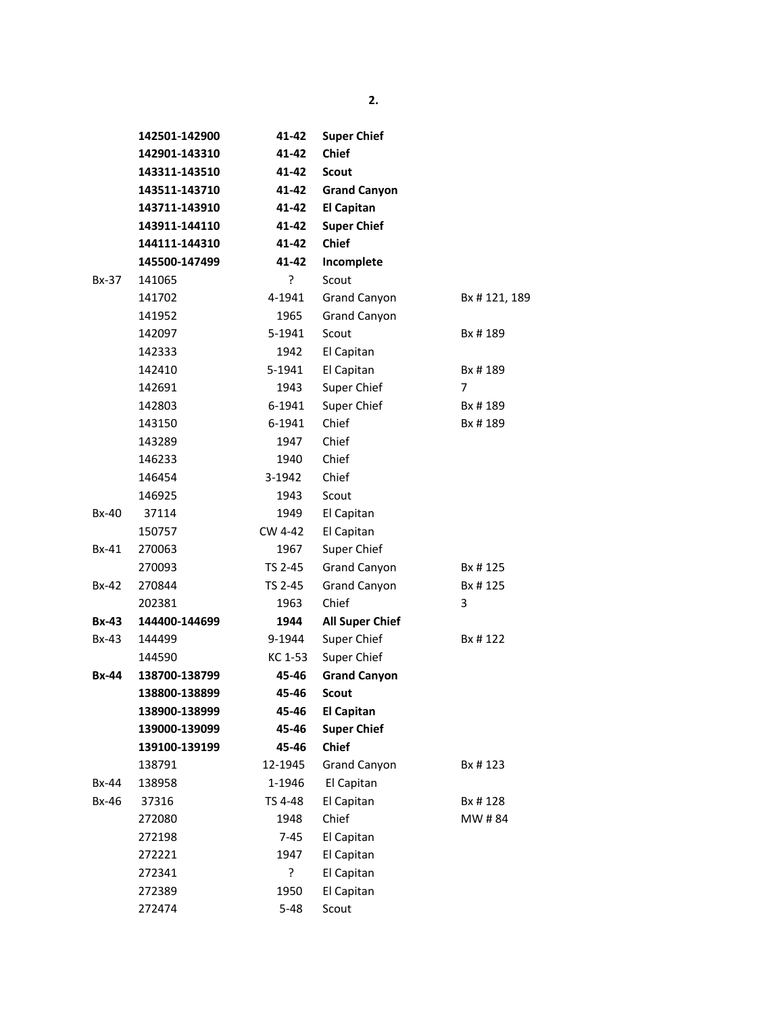|              | 142501-142900 | 41-42    | <b>Super Chief</b>     |                |  |
|--------------|---------------|----------|------------------------|----------------|--|
|              | 142901-143310 | 41-42    | <b>Chief</b>           |                |  |
|              | 143311-143510 | 41-42    | <b>Scout</b>           |                |  |
|              | 143511-143710 | 41-42    | <b>Grand Canyon</b>    |                |  |
|              | 143711-143910 | 41-42    | <b>El Capitan</b>      |                |  |
|              | 143911-144110 | 41-42    | <b>Super Chief</b>     |                |  |
|              | 144111-144310 | 41-42    | <b>Chief</b>           |                |  |
|              | 145500-147499 | 41-42    | Incomplete             |                |  |
| Bx-37        | 141065        | ?        | Scout                  |                |  |
|              | 141702        | 4-1941   | Grand Canyon           | Bx #121, 189   |  |
|              | 141952        | 1965     | <b>Grand Canyon</b>    |                |  |
|              | 142097        | 5-1941   | Scout                  | Bx # 189       |  |
|              | 142333        | 1942     | El Capitan             |                |  |
|              | 142410        | 5-1941   | El Capitan             | Bx #189        |  |
|              | 142691        | 1943     | Super Chief            | $\overline{7}$ |  |
|              | 142803        | 6-1941   | Super Chief            | Bx #189        |  |
|              | 143150        | 6-1941   | Chief                  | Bx #189        |  |
|              | 143289        | 1947     | Chief                  |                |  |
|              | 146233        | 1940     | Chief                  |                |  |
|              | 146454        | 3-1942   | Chief                  |                |  |
|              | 146925        | 1943     | Scout                  |                |  |
| <b>Bx-40</b> | 37114         | 1949     | El Capitan             |                |  |
|              | 150757        | CW 4-42  | El Capitan             |                |  |
| <b>Bx-41</b> | 270063        | 1967     | Super Chief            |                |  |
|              | 270093        | TS 2-45  | Grand Canyon           | Bx # 125       |  |
| Bx-42        | 270844        | TS 2-45  | Grand Canyon           | Bx #125        |  |
|              | 202381        | 1963     | Chief                  | 3              |  |
| <b>Bx-43</b> | 144400-144699 | 1944     | <b>All Super Chief</b> |                |  |
| $Bx-43$      | 144499        | 9-1944   | Super Chief            | Bx # 122       |  |
|              | 144590        | KC 1-53  | Super Chief            |                |  |
| <b>Bx-44</b> | 138700-138799 | 45-46    | <b>Grand Canyon</b>    |                |  |
|              | 138800-138899 | 45-46    | <b>Scout</b>           |                |  |
|              | 138900-138999 | 45-46    | <b>El Capitan</b>      |                |  |
|              | 139000-139099 | 45-46    | <b>Super Chief</b>     |                |  |
|              | 139100-139199 | 45-46    | <b>Chief</b>           |                |  |
|              | 138791        | 12-1945  | <b>Grand Canyon</b>    | Bx # 123       |  |
| Bx-44        | 138958        | 1-1946   | El Capitan             |                |  |
| Bx-46        | 37316         | TS 4-48  | El Capitan             | Bx # 128       |  |
|              | 272080        | 1948     | Chief                  | MW #84         |  |
|              | 272198        | $7 - 45$ | El Capitan             |                |  |
|              | 272221        | 1947     | El Capitan             |                |  |
|              | 272341        | ?        | El Capitan             |                |  |
|              | 272389        | 1950     | El Capitan             |                |  |
|              | 272474        | $5 - 48$ | Scout                  |                |  |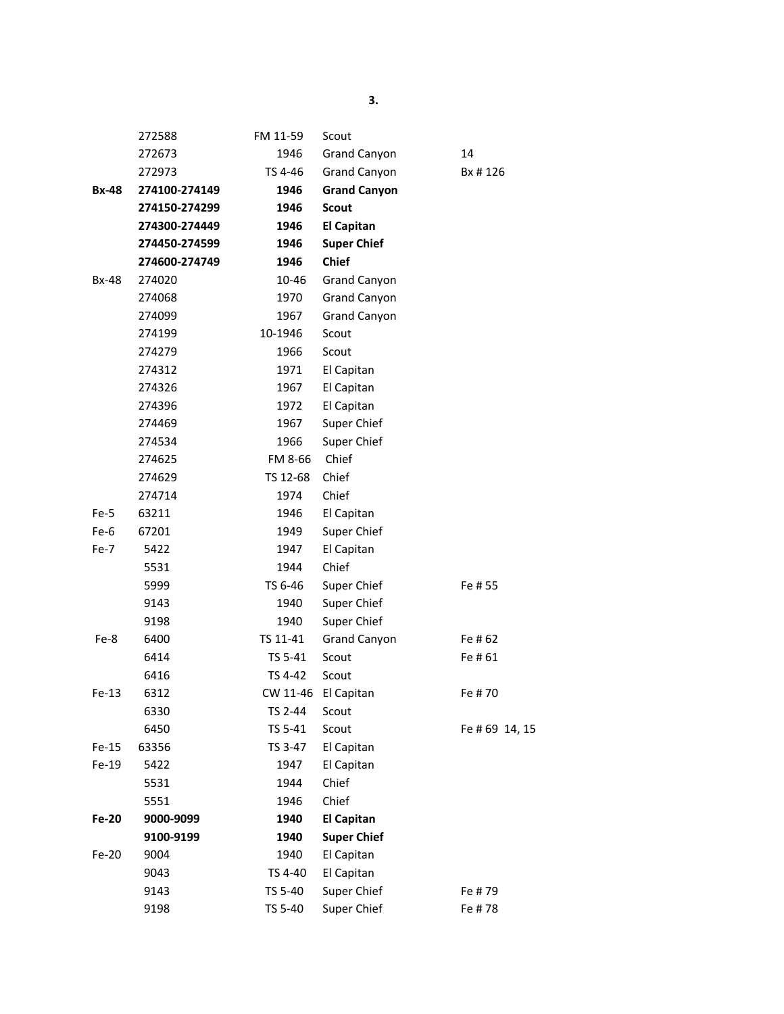|              | 272588        | FM 11-59 | Scout               |               |
|--------------|---------------|----------|---------------------|---------------|
|              | 272673        | 1946     | <b>Grand Canyon</b> | 14            |
|              | 272973        | TS 4-46  | Grand Canyon        | Bx #126       |
| <b>Bx-48</b> | 274100-274149 | 1946     | <b>Grand Canyon</b> |               |
|              | 274150-274299 | 1946     | <b>Scout</b>        |               |
|              | 274300-274449 | 1946     | <b>El Capitan</b>   |               |
|              | 274450-274599 | 1946     | <b>Super Chief</b>  |               |
|              | 274600-274749 | 1946     | <b>Chief</b>        |               |
| <b>Bx-48</b> | 274020        | 10-46    | <b>Grand Canyon</b> |               |
|              | 274068        | 1970     | <b>Grand Canyon</b> |               |
|              | 274099        | 1967     | <b>Grand Canyon</b> |               |
|              | 274199        | 10-1946  | Scout               |               |
|              | 274279        | 1966     | Scout               |               |
|              | 274312        | 1971     | El Capitan          |               |
|              | 274326        | 1967     | El Capitan          |               |
|              | 274396        | 1972     | El Capitan          |               |
|              | 274469        | 1967     | Super Chief         |               |
|              | 274534        | 1966     | Super Chief         |               |
|              | 274625        | FM 8-66  | Chief               |               |
|              | 274629        | TS 12-68 | Chief               |               |
|              | 274714        | 1974     | Chief               |               |
| Fe-5         | 63211         | 1946     | El Capitan          |               |
| Fe-6         | 67201         | 1949     | Super Chief         |               |
| Fe-7         | 5422          | 1947     | El Capitan          |               |
|              | 5531          | 1944     | Chief               |               |
|              | 5999          | TS 6-46  | Super Chief         | Fe # 55       |
|              | 9143          | 1940     | Super Chief         |               |
|              | 9198          | 1940     | Super Chief         |               |
| Fe-8         | 6400          | TS 11-41 | <b>Grand Canyon</b> | Fe #62        |
|              | 6414          | TS 5-41  | Scout               | Fe #61        |
|              | 6416          | TS 4-42  | Scout               |               |
| $Fe-13$      | 6312          |          | CW 11-46 El Capitan | Fe #70        |
|              | 6330          | TS 2-44  | Scout               |               |
|              | 6450          | TS 5-41  | Scout               | Fe #69 14, 15 |
| $Fe-15$      | 63356         | TS 3-47  | El Capitan          |               |
| Fe-19        | 5422          | 1947     | El Capitan          |               |
|              | 5531          | 1944     | Chief               |               |
|              | 5551          | 1946     | Chief               |               |
| Fe-20        | 9000-9099     | 1940     | <b>El Capitan</b>   |               |
|              | 9100-9199     | 1940     | <b>Super Chief</b>  |               |
| Fe-20        | 9004          | 1940     | El Capitan          |               |
|              | 9043          | TS 4-40  | El Capitan          |               |
|              | 9143          | TS 5-40  | Super Chief         | Fe #79        |
|              | 9198          | TS 5-40  | Super Chief         | Fe #78        |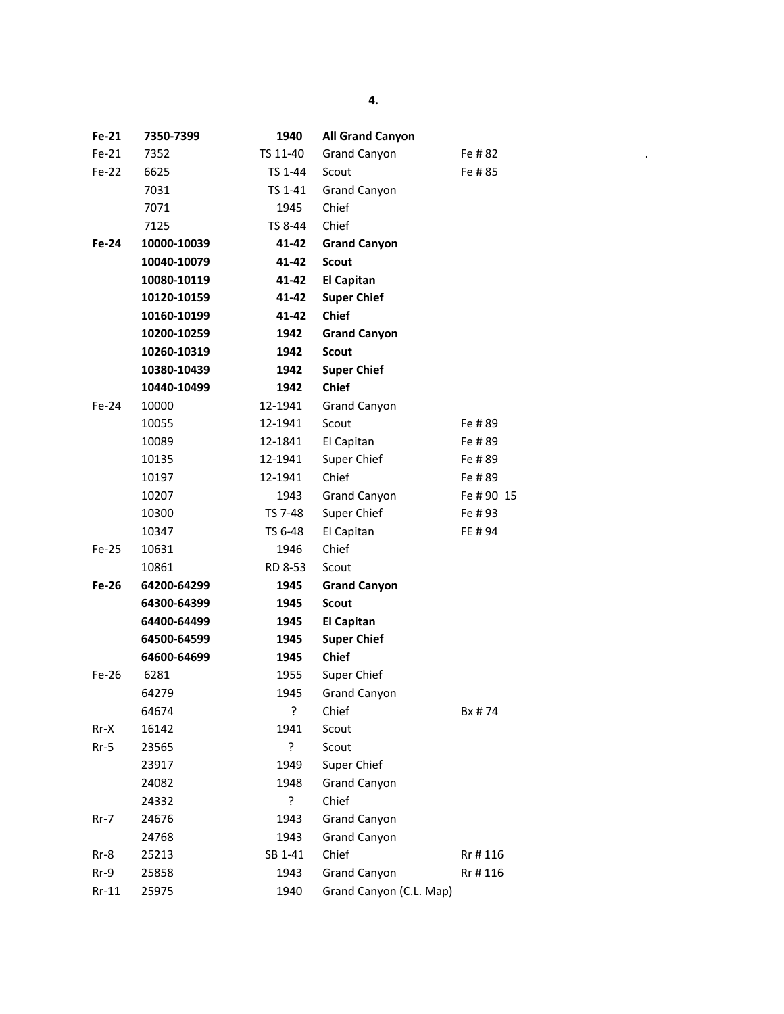| Fe-21   | 7350-7399   | 1940     | <b>All Grand Canyon</b> |            |
|---------|-------------|----------|-------------------------|------------|
| $Fe-21$ | 7352        | TS 11-40 | <b>Grand Canyon</b>     | Fe # 82    |
| Fe-22   | 6625        | TS 1-44  | Scout                   | Fe #85     |
|         | 7031        | TS 1-41  | <b>Grand Canyon</b>     |            |
|         | 7071        | 1945     | Chief                   |            |
|         | 7125        | TS 8-44  | Chief                   |            |
| Fe-24   | 10000-10039 | 41-42    | <b>Grand Canyon</b>     |            |
|         | 10040-10079 | 41-42    | <b>Scout</b>            |            |
|         | 10080-10119 | 41-42    | <b>El Capitan</b>       |            |
|         | 10120-10159 | 41-42    | <b>Super Chief</b>      |            |
|         | 10160-10199 | 41-42    | <b>Chief</b>            |            |
|         | 10200-10259 | 1942     | <b>Grand Canyon</b>     |            |
|         | 10260-10319 | 1942     | <b>Scout</b>            |            |
|         | 10380-10439 | 1942     | <b>Super Chief</b>      |            |
|         | 10440-10499 | 1942     | <b>Chief</b>            |            |
| Fe-24   | 10000       | 12-1941  | <b>Grand Canyon</b>     |            |
|         | 10055       | 12-1941  | Scout                   | Fe #89     |
|         | 10089       | 12-1841  | El Capitan              | Fe #89     |
|         | 10135       | 12-1941  | Super Chief             | Fe #89     |
|         | 10197       | 12-1941  | Chief                   | Fe #89     |
|         | 10207       | 1943     | <b>Grand Canyon</b>     | Fe # 90 15 |
|         | 10300       | TS 7-48  | Super Chief             | Fe #93     |
|         | 10347       | TS 6-48  | El Capitan              | FE # 94    |
| Fe-25   | 10631       | 1946     | Chief                   |            |
|         | 10861       | RD 8-53  | Scout                   |            |
| Fe-26   | 64200-64299 | 1945     | <b>Grand Canyon</b>     |            |
|         | 64300-64399 | 1945     | <b>Scout</b>            |            |
|         | 64400-64499 | 1945     | <b>El Capitan</b>       |            |
|         | 64500-64599 | 1945     | <b>Super Chief</b>      |            |
|         | 64600-64699 | 1945     | <b>Chief</b>            |            |
| Fe-26   | 6281        | 1955     | Super Chief             |            |
|         | 64279       | 1945     | <b>Grand Canyon</b>     |            |
|         | 64674       | ?        | Chief                   | Bx #74     |
| $Rr-X$  | 16142       | 1941     | Scout                   |            |
| $Rr-5$  | 23565       | 5.       | Scout                   |            |
|         | 23917       | 1949     | Super Chief             |            |
|         | 24082       | 1948     | <b>Grand Canyon</b>     |            |
|         | 24332       | ŗ        | Chief                   |            |
| $Rr-7$  | 24676       | 1943     | <b>Grand Canyon</b>     |            |
|         | 24768       | 1943     | <b>Grand Canyon</b>     |            |
| $Rr-8$  | 25213       | SB 1-41  | Chief                   | Rr #116    |
| $Rr-9$  | 25858       | 1943     | <b>Grand Canyon</b>     | Rr #116    |
| $Rr-11$ | 25975       | 1940     | Grand Canyon (C.L. Map) |            |

 $\mathcal{F}_{\mathcal{F}}(x) = \mathcal{F}_{\mathcal{F}}(x)$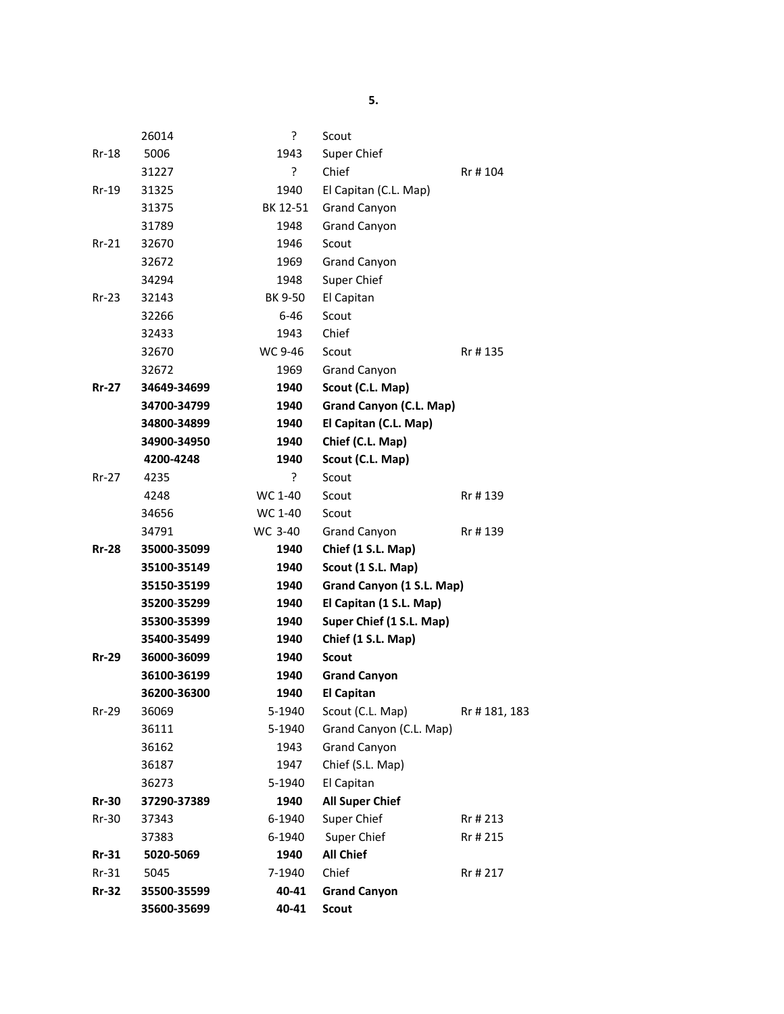|              | 26014       | ۶.       | Scout                     |              |
|--------------|-------------|----------|---------------------------|--------------|
| $Rr-18$      | 5006        | 1943     | Super Chief               |              |
|              | 31227       | ç.       | Chief                     | Rr #104      |
| Rr-19        | 31325       | 1940     | El Capitan (C.L. Map)     |              |
|              | 31375       | BK 12-51 | <b>Grand Canyon</b>       |              |
|              | 31789       | 1948     | <b>Grand Canyon</b>       |              |
| $Rr-21$      | 32670       | 1946     | Scout                     |              |
|              | 32672       | 1969     | <b>Grand Canyon</b>       |              |
|              | 34294       | 1948     | Super Chief               |              |
| $Rr-23$      | 32143       | BK 9-50  | El Capitan                |              |
|              | 32266       | $6 - 46$ | Scout                     |              |
|              | 32433       | 1943     | Chief                     |              |
|              | 32670       | WC 9-46  | Scout                     | Rr #135      |
|              | 32672       | 1969     | <b>Grand Canyon</b>       |              |
| <b>Rr-27</b> | 34649-34699 | 1940     | Scout (C.L. Map)          |              |
|              | 34700-34799 | 1940     | Grand Canyon (C.L. Map)   |              |
|              | 34800-34899 | 1940     | El Capitan (C.L. Map)     |              |
|              | 34900-34950 | 1940     | Chief (C.L. Map)          |              |
|              | 4200-4248   | 1940     | Scout (C.L. Map)          |              |
| $Rr-27$      | 4235        | ?        | Scout                     |              |
|              | 4248        | WC 1-40  | Scout                     | Rr #139      |
|              | 34656       | WC 1-40  | Scout                     |              |
|              | 34791       | WC 3-40  | <b>Grand Canyon</b>       | Rr #139      |
| <b>Rr-28</b> | 35000-35099 | 1940     | Chief (1 S.L. Map)        |              |
|              | 35100-35149 | 1940     | Scout (1 S.L. Map)        |              |
|              | 35150-35199 | 1940     | Grand Canyon (1 S.L. Map) |              |
|              | 35200-35299 | 1940     | El Capitan (1 S.L. Map)   |              |
|              | 35300-35399 | 1940     | Super Chief (1 S.L. Map)  |              |
|              | 35400-35499 | 1940     | Chief (1 S.L. Map)        |              |
| <b>Rr-29</b> | 36000-36099 | 1940     | <b>Scout</b>              |              |
|              | 36100-36199 | 1940     | <b>Grand Canyon</b>       |              |
|              | 36200-36300 | 1940     | <b>El Capitan</b>         |              |
| <b>Rr-29</b> | 36069       | 5-1940   | Scout (C.L. Map)          | Rr #181, 183 |
|              | 36111       | 5-1940   | Grand Canyon (C.L. Map)   |              |
|              | 36162       | 1943     | Grand Canyon              |              |
|              | 36187       | 1947     | Chief (S.L. Map)          |              |
|              | 36273       | 5-1940   | El Capitan                |              |
| <b>Rr-30</b> | 37290-37389 | 1940     | <b>All Super Chief</b>    |              |
| $Rr-30$      | 37343       | 6-1940   | Super Chief               | Rr # 213     |
|              | 37383       | 6-1940   | Super Chief               | Rr # 215     |
| $Rr-31$      | 5020-5069   | 1940     | <b>All Chief</b>          |              |
| $Rr-31$      | 5045        | 7-1940   | Chief                     | Rr # 217     |
| $Rr-32$      | 35500-35599 | 40-41    | <b>Grand Canyon</b>       |              |
|              | 35600-35699 | 40-41    | <b>Scout</b>              |              |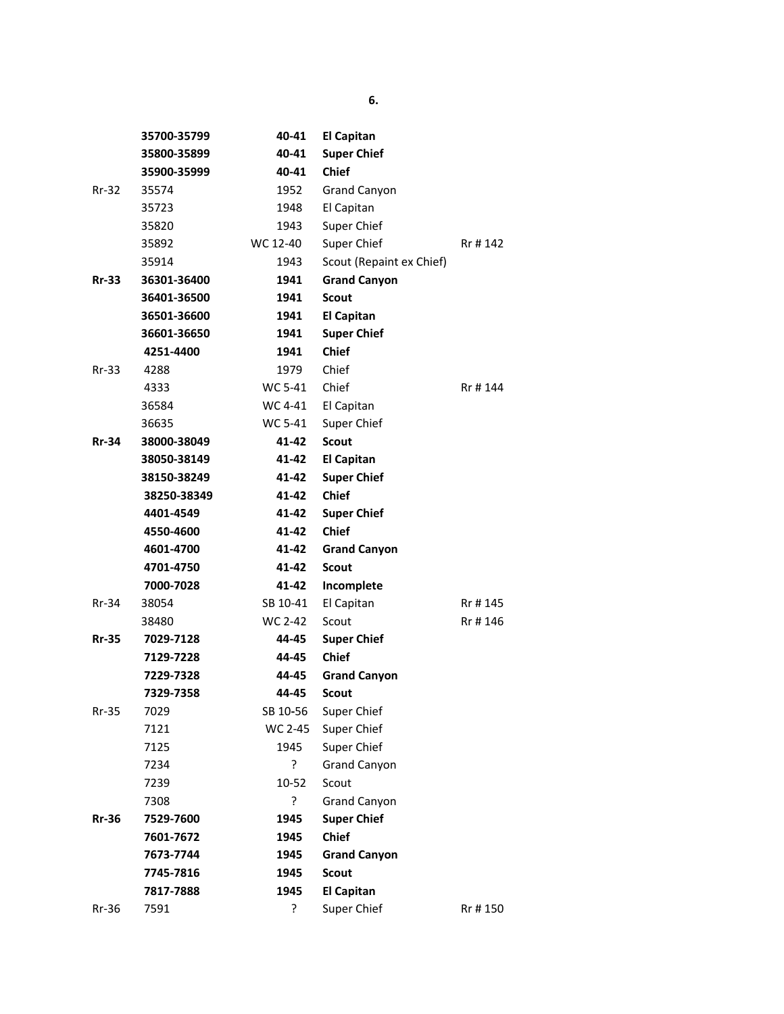|              | 35700-35799 | 40-41    | <b>El Capitan</b>        |          |
|--------------|-------------|----------|--------------------------|----------|
|              | 35800-35899 | 40-41    | <b>Super Chief</b>       |          |
|              | 35900-35999 | 40-41    | <b>Chief</b>             |          |
| $Rr-32$      | 35574       | 1952     | <b>Grand Canyon</b>      |          |
|              | 35723       | 1948     | El Capitan               |          |
|              | 35820       | 1943     | Super Chief              |          |
|              | 35892       | WC 12-40 | Super Chief              | Rr # 142 |
|              | 35914       | 1943     | Scout (Repaint ex Chief) |          |
| $Rr-33$      | 36301-36400 | 1941     | <b>Grand Canyon</b>      |          |
|              | 36401-36500 | 1941     | Scout                    |          |
|              | 36501-36600 | 1941     | <b>El Capitan</b>        |          |
|              | 36601-36650 | 1941     | <b>Super Chief</b>       |          |
|              | 4251-4400   | 1941     | <b>Chief</b>             |          |
| $Rr-33$      | 4288        | 1979     | Chief                    |          |
|              | 4333        | WC 5-41  | Chief                    | Rr # 144 |
|              | 36584       | WC 4-41  | El Capitan               |          |
|              | 36635       | WC 5-41  | Super Chief              |          |
| <b>Rr-34</b> | 38000-38049 | 41-42    | <b>Scout</b>             |          |
|              | 38050-38149 | 41-42    | <b>El Capitan</b>        |          |
|              | 38150-38249 | 41-42    | <b>Super Chief</b>       |          |
|              | 38250-38349 | 41-42    | <b>Chief</b>             |          |
|              | 4401-4549   | 41-42    | <b>Super Chief</b>       |          |
|              | 4550-4600   | 41-42    | <b>Chief</b>             |          |
|              | 4601-4700   | 41-42    | <b>Grand Canyon</b>      |          |
|              | 4701-4750   | 41-42    | <b>Scout</b>             |          |
|              | 7000-7028   | 41-42    | Incomplete               |          |
| $Rr-34$      | 38054       | SB 10-41 | El Capitan               | Rr #145  |
|              | 38480       | WC 2-42  | Scout                    | Rr #146  |
| <b>Rr-35</b> | 7029-7128   | 44-45    | <b>Super Chief</b>       |          |
|              | 7129-7228   | 44-45    | <b>Chief</b>             |          |
|              | 7229-7328   | 44-45    | <b>Grand Canyon</b>      |          |
|              | 7329-7358   | 44-45    | <b>Scout</b>             |          |
| $Rr-35$      | 7029        | SB 10-56 | Super Chief              |          |
|              | 7121        | WC 2-45  | Super Chief              |          |
|              | 7125        | 1945     | Super Chief              |          |
|              | 7234        | ?        | Grand Canyon             |          |
|              | 7239        | 10-52    | Scout                    |          |
|              | 7308        | ŗ        | Grand Canyon             |          |
| <b>Rr-36</b> | 7529-7600   | 1945     | <b>Super Chief</b>       |          |
|              | 7601-7672   | 1945     | Chief                    |          |
|              | 7673-7744   | 1945     | <b>Grand Canyon</b>      |          |
|              | 7745-7816   | 1945     | Scout                    |          |
|              | 7817-7888   | 1945     | <b>El Capitan</b>        |          |
| $Rr-36$      | 7591        | ?        | Super Chief              | Rr #150  |
|              |             |          |                          |          |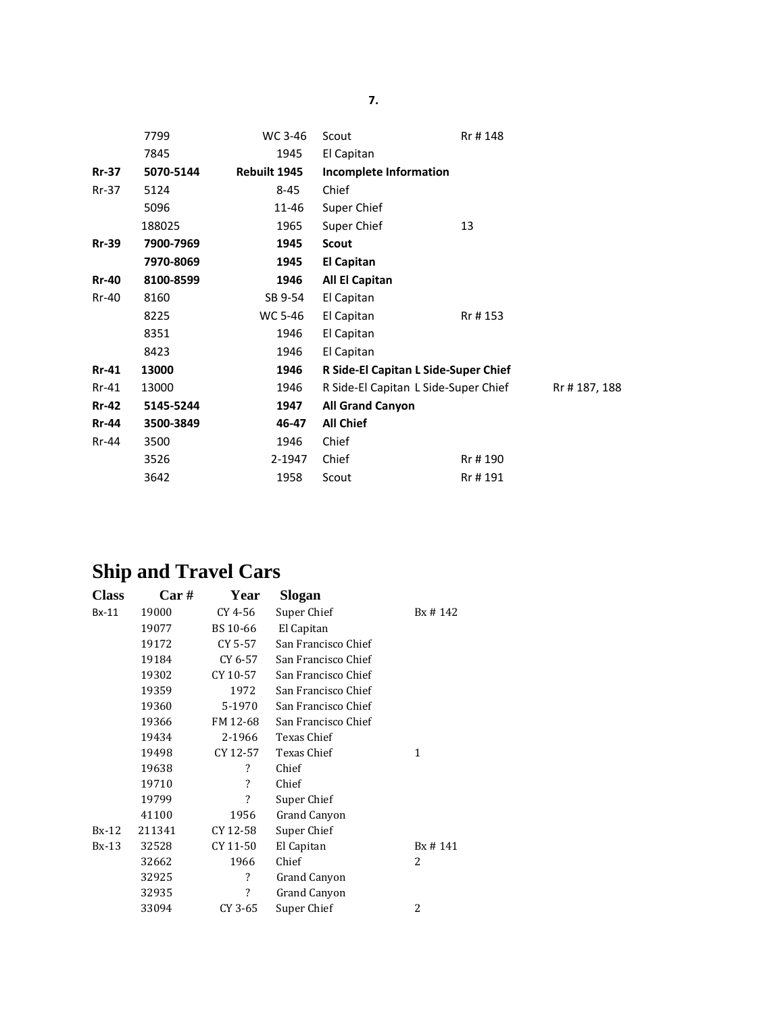|              | 7799      | WC 3-46      | Scout                                | Rr #148 |              |
|--------------|-----------|--------------|--------------------------------------|---------|--------------|
|              | 7845      | 1945         | El Capitan                           |         |              |
| <b>Rr-37</b> | 5070-5144 | Rebuilt 1945 | <b>Incomplete Information</b>        |         |              |
| $Rr-37$      | 5124      | 8-45         | Chief                                |         |              |
|              | 5096      | 11-46        | Super Chief                          |         |              |
|              | 188025    | 1965         | Super Chief                          | 13      |              |
| <b>Rr-39</b> | 7900-7969 | 1945         | <b>Scout</b>                         |         |              |
|              | 7970-8069 | 1945         | <b>El Capitan</b>                    |         |              |
| <b>Rr-40</b> | 8100-8599 | 1946         | All El Capitan                       |         |              |
| Rr-40        | 8160      | SB 9-54      | El Capitan                           |         |              |
|              | 8225      | WC 5-46      | El Capitan                           | Rr #153 |              |
|              | 8351      | 1946         | El Capitan                           |         |              |
|              | 8423      | 1946         | El Capitan                           |         |              |
| <b>Rr-41</b> | 13000     | 1946         | R Side-El Capitan L Side-Super Chief |         |              |
| $Rr-41$      | 13000     | 1946         | R Side-El Capitan L Side-Super Chief |         | Rr #187, 188 |
| <b>Rr-42</b> | 5145-5244 | 1947         | <b>All Grand Canyon</b>              |         |              |
| <b>Rr-44</b> | 3500-3849 | 46-47        | <b>All Chief</b>                     |         |              |
| Rr-44        | 3500      | 1946         | Chief                                |         |              |
|              | 3526      | 2-1947       | Chief                                | Rr #190 |              |
|              | 3642      | 1958         | Scout                                | Rr #191 |              |

# **Ship and Travel Cars**

| <b>Class</b> | Car#   | Year     | Slogan              |         |
|--------------|--------|----------|---------------------|---------|
| $Bx-11$      | 19000  | CY 4-56  | Super Chief         | Bx #142 |
|              | 19077  | BS 10-66 | El Capitan          |         |
|              | 19172  | CY 5-57  | San Francisco Chief |         |
|              | 19184  | CY 6-57  | San Francisco Chief |         |
|              | 19302  | CY 10-57 | San Francisco Chief |         |
|              | 19359  | 1972     | San Francisco Chief |         |
|              | 19360  | 5-1970   | San Francisco Chief |         |
|              | 19366  | FM 12-68 | San Francisco Chief |         |
|              | 19434  | 2-1966   | Texas Chief         |         |
|              | 19498  | CY 12-57 | Texas Chief         | 1       |
|              | 19638  | ?        | Chief               |         |
|              | 19710  | ?        | Chief               |         |
|              | 19799  | ?        | Super Chief         |         |
|              | 41100  | 1956     | Grand Canyon        |         |
| $Bx-12$      | 211341 | CY 12-58 | Super Chief         |         |
| $Bx-13$      | 32528  | CY 11-50 | El Capitan          | Bx #141 |
|              | 32662  | 1966     | Chief               | 2       |
|              | 32925  | ?        | Grand Canyon        |         |
|              | 32935  | ?        | Grand Canyon        |         |
|              | 33094  | CY 3-65  | Super Chief         | 2       |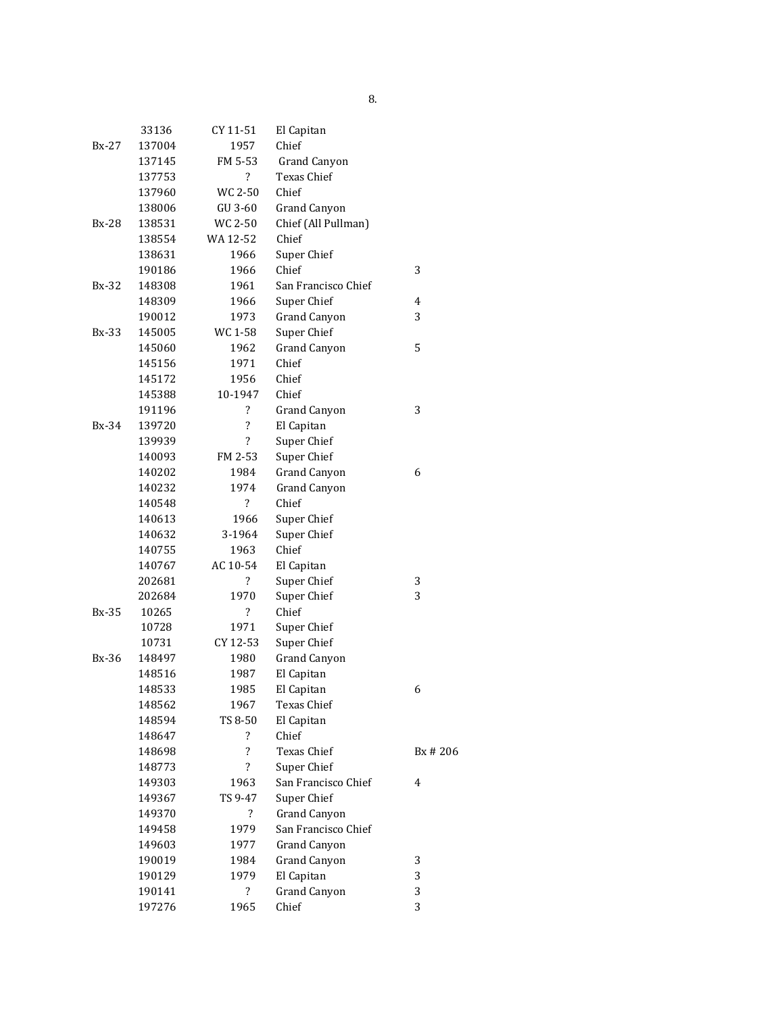|              | 33136  | CY 11-51                 | El Capitan          |                |
|--------------|--------|--------------------------|---------------------|----------------|
| $Bx-27$      | 137004 | 1957                     | Chief               |                |
|              | 137145 | FM 5-53                  | <b>Grand Canyon</b> |                |
|              | 137753 | $\overline{\cdot}$       | Texas Chief         |                |
|              | 137960 | WC 2-50                  | Chief               |                |
|              | 138006 | GU 3-60                  | <b>Grand Canyon</b> |                |
| $Bx-28$      | 138531 | WC 2-50                  | Chief (All Pullman) |                |
|              | 138554 | WA 12-52                 | Chief               |                |
|              | 138631 | 1966                     | Super Chief         |                |
|              | 190186 | 1966                     | Chief               | 3              |
| Bx-32        | 148308 | 1961                     | San Francisco Chief |                |
|              | 148309 | 1966                     | Super Chief         | $\overline{4}$ |
|              | 190012 | 1973                     | <b>Grand Canyon</b> | 3              |
| <b>Bx-33</b> | 145005 | WC 1-58                  | Super Chief         |                |
|              | 145060 | 1962                     | <b>Grand Canyon</b> | 5              |
|              | 145156 | 1971                     | Chief               |                |
|              | 145172 | 1956                     | Chief               |                |
|              | 145388 | 10-1947                  | Chief               |                |
|              | 191196 | ?                        | <b>Grand Canyon</b> | 3              |
| Bx-34        | 139720 | $\ddot{\phantom{0}}$     | El Capitan          |                |
|              | 139939 | $\overline{\cdot}$       | Super Chief         |                |
|              | 140093 | FM 2-53                  | Super Chief         |                |
|              | 140202 | 1984                     | <b>Grand Canyon</b> | 6              |
|              | 140232 | 1974                     | <b>Grand Canyon</b> |                |
|              | 140548 | $\overline{\mathcal{E}}$ | Chief               |                |
|              | 140613 | 1966                     | Super Chief         |                |
|              | 140632 | 3-1964                   | Super Chief         |                |
|              | 140755 | 1963                     | Chief               |                |
|              | 140767 | AC 10-54                 | El Capitan          |                |
|              | 202681 | $\overline{\mathcal{E}}$ | Super Chief         | 3              |
|              | 202684 | 1970                     | Super Chief         | 3              |
| <b>Bx-35</b> | 10265  | $\overline{\mathcal{E}}$ | Chief               |                |
|              | 10728  | 1971                     | Super Chief         |                |
|              | 10731  | CY 12-53                 | Super Chief         |                |
| Bx-36        | 148497 | 1980                     | <b>Grand Canyon</b> |                |
|              | 148516 | 1987                     | El Capitan          |                |
|              | 148533 | 1985                     | El Capitan          | 6              |
|              | 148562 | 1967                     | Texas Chief         |                |
|              | 148594 | TS 8-50                  | El Capitan          |                |
|              | 148647 | $\overline{\mathcal{E}}$ | Chief               |                |
|              | 148698 | $\overline{\cdot}$       | Texas Chief         | Bx # 206       |
|              | 148773 | $\overline{\mathcal{L}}$ | Super Chief         |                |
|              | 149303 | 1963                     | San Francisco Chief | $\overline{4}$ |
|              | 149367 | TS 9-47                  | Super Chief         |                |
|              | 149370 | $\overline{\mathcal{E}}$ | <b>Grand Canyon</b> |                |
|              | 149458 | 1979                     | San Francisco Chief |                |
|              | 149603 | 1977                     | <b>Grand Canyon</b> |                |
|              | 190019 | 1984                     | <b>Grand Canyon</b> | 3              |
|              | 190129 | 1979                     | El Capitan          | 3              |
|              | 190141 | $\overline{\mathcal{E}}$ | Grand Canyon        | 3              |
|              | 197276 | 1965                     | Chief               | 3              |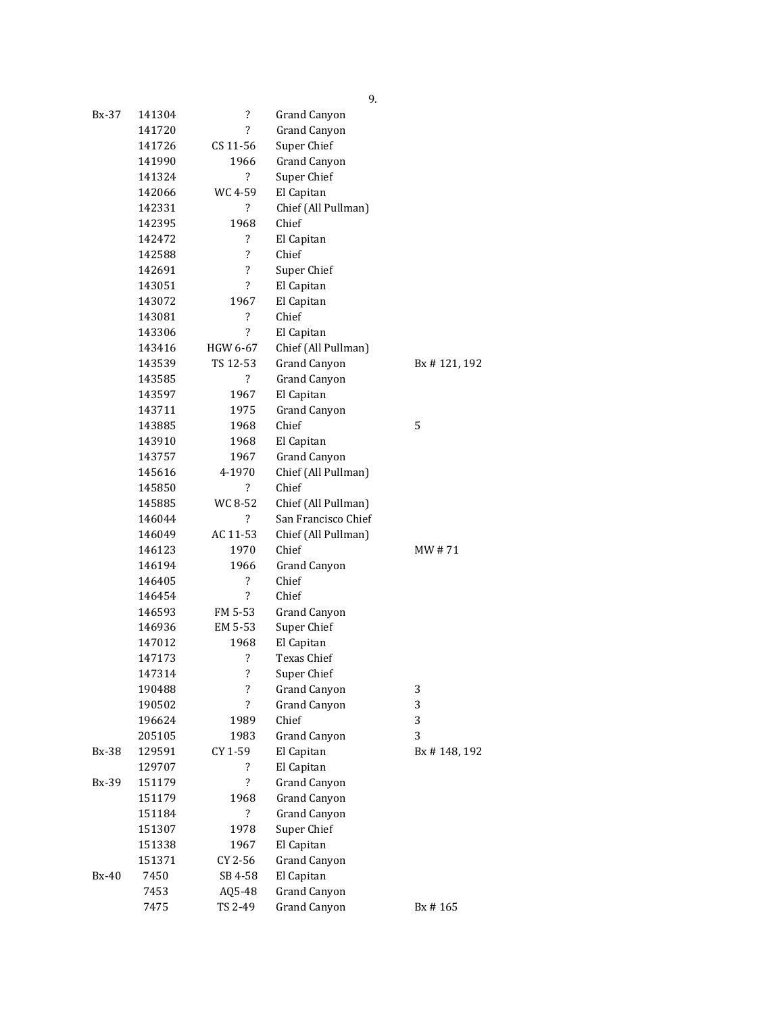| Bx-37 | 141304 | $\overline{\cdot}$       | Grand Canyon        |              |
|-------|--------|--------------------------|---------------------|--------------|
|       | 141720 | 2                        | <b>Grand Canyon</b> |              |
|       | 141726 | CS 11-56                 | Super Chief         |              |
|       | 141990 | 1966                     | <b>Grand Canyon</b> |              |
|       | 141324 | $\overline{\mathcal{L}}$ | Super Chief         |              |
|       | 142066 | WC 4-59                  | El Capitan          |              |
|       | 142331 | ?                        | Chief (All Pullman) |              |
|       | 142395 | 1968                     | Chief               |              |
|       | 142472 | ?                        | El Capitan          |              |
|       | 142588 | $\overline{\cdot}$       | Chief               |              |
|       | 142691 | $\overline{\cdot}$       | Super Chief         |              |
|       | 143051 | $\overline{\mathcal{E}}$ | El Capitan          |              |
|       | 143072 | 1967                     | El Capitan          |              |
|       | 143081 | ?                        | Chief               |              |
|       | 143306 | $\overline{\cdot}$       | El Capitan          |              |
|       | 143416 | HGW 6-67                 | Chief (All Pullman) |              |
|       | 143539 | TS 12-53                 | <b>Grand Canyon</b> | Bx #121, 192 |
|       | 143585 | ?                        | <b>Grand Canyon</b> |              |
|       | 143597 | 1967                     | El Capitan          |              |
|       | 143711 | 1975                     | <b>Grand Canyon</b> |              |
|       | 143885 | 1968                     | Chief               | 5            |
|       | 143910 | 1968                     | El Capitan          |              |
|       | 143757 | 1967                     | <b>Grand Canyon</b> |              |
|       | 145616 | 4-1970                   | Chief (All Pullman) |              |
|       | 145850 | $\overline{\mathcal{E}}$ | Chief               |              |
|       | 145885 | WC 8-52                  | Chief (All Pullman) |              |
|       | 146044 | $\overline{\mathcal{E}}$ | San Francisco Chief |              |
|       | 146049 | AC 11-53                 | Chief (All Pullman) |              |
|       | 146123 | 1970                     | Chief               | MW # 71      |
|       | 146194 | 1966                     | <b>Grand Canyon</b> |              |
|       | 146405 | $\overline{\cdot}$       | Chief               |              |
|       | 146454 | $\overline{\cdot}$       | Chief               |              |
|       | 146593 | FM 5-53                  | <b>Grand Canyon</b> |              |
|       | 146936 | EM 5-53                  | Super Chief         |              |
|       | 147012 | 1968                     | El Capitan          |              |
|       | 147173 | ?                        | <b>Texas Chief</b>  |              |
|       | 147314 | $\overline{\mathcal{L}}$ | Super Chief         |              |
|       | 190488 | $\ddot{?}$               | Grand Canyon        | 3            |
|       | 190502 | $\overline{\mathcal{E}}$ | <b>Grand Canyon</b> | 3            |
|       | 196624 | 1989                     | Chief               | 3            |
|       | 205105 | 1983                     | <b>Grand Canyon</b> | 3            |
| Bx-38 | 129591 | CY 1-59                  | El Capitan          | Bx #148, 192 |
|       | 129707 | ?                        | El Capitan          |              |
| Bx-39 | 151179 | $\overline{\cdot}$       | <b>Grand Canyon</b> |              |
|       | 151179 | 1968                     | <b>Grand Canyon</b> |              |
|       | 151184 | $\overline{\mathcal{E}}$ | <b>Grand Canyon</b> |              |
|       | 151307 | 1978                     | Super Chief         |              |
|       | 151338 | 1967                     | El Capitan          |              |
|       | 151371 | CY 2-56                  | <b>Grand Canyon</b> |              |
| Bx-40 | 7450   | SB 4-58                  | El Capitan          |              |
|       | 7453   | AQ5-48                   | <b>Grand Canyon</b> |              |
|       | 7475   | TS 2-49                  | <b>Grand Canyon</b> | Bx #165      |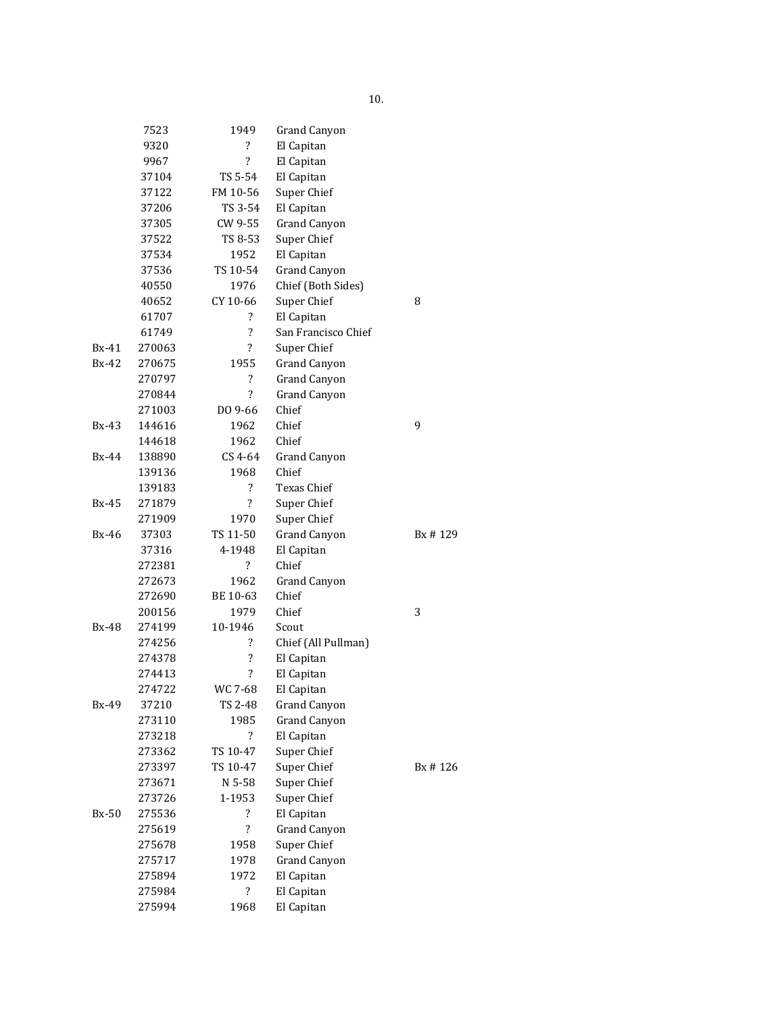|              | 7523   | 1949                     | <b>Grand Canyon</b> |         |  |
|--------------|--------|--------------------------|---------------------|---------|--|
|              | 9320   | $\overline{\mathcal{E}}$ | El Capitan          |         |  |
|              | 9967   | $\overline{\mathcal{E}}$ | El Capitan          |         |  |
|              | 37104  | TS 5-54                  | El Capitan          |         |  |
|              | 37122  | FM 10-56                 | Super Chief         |         |  |
|              | 37206  | TS 3-54                  | El Capitan          |         |  |
|              | 37305  | CW 9-55                  | <b>Grand Canyon</b> |         |  |
|              | 37522  | TS 8-53                  | Super Chief         |         |  |
|              | 37534  | 1952                     | El Capitan          |         |  |
|              | 37536  | TS 10-54                 | <b>Grand Canyon</b> |         |  |
|              | 40550  | 1976                     | Chief (Both Sides)  |         |  |
|              | 40652  | CY 10-66                 | Super Chief         | 8       |  |
|              | 61707  | $\overline{\cdot}$       | El Capitan          |         |  |
|              | 61749  | ?                        | San Francisco Chief |         |  |
| $Bx-41$      | 270063 | ?                        | Super Chief         |         |  |
| $Bx-42$      | 270675 | 1955                     | <b>Grand Canyon</b> |         |  |
|              | 270797 | $\overline{\mathcal{E}}$ | <b>Grand Canyon</b> |         |  |
|              | 270844 | $\overline{\mathcal{L}}$ | <b>Grand Canyon</b> |         |  |
|              | 271003 | DO 9-66                  | Chief               |         |  |
| $Bx-43$      | 144616 | 1962                     | Chief               | 9       |  |
|              | 144618 | 1962                     | Chief               |         |  |
| <b>Bx-44</b> | 138890 | CS 4-64                  | Grand Canyon        |         |  |
|              | 139136 | 1968                     | Chief               |         |  |
|              | 139183 | $\overline{\mathcal{E}}$ | Texas Chief         |         |  |
| $Bx-45$      | 271879 | ?                        | Super Chief         |         |  |
|              | 271909 | 1970                     | Super Chief         |         |  |
| <b>Bx-46</b> | 37303  | TS 11-50                 | <b>Grand Canyon</b> | Bx #129 |  |
|              | 37316  | 4-1948                   | El Capitan          |         |  |
|              | 272381 | $\overline{\mathcal{L}}$ | Chief               |         |  |
|              | 272673 | 1962                     | <b>Grand Canyon</b> |         |  |
|              | 272690 | BE 10-63                 | Chief               |         |  |
|              | 200156 | 1979                     | Chief               | 3       |  |
| Bx-48        | 274199 | 10-1946                  | Scout               |         |  |
|              | 274256 | ?                        | Chief (All Pullman) |         |  |
|              | 274378 | ?                        | El Capitan          |         |  |
|              | 274413 | $\overline{\mathcal{L}}$ | El Capitan          |         |  |
|              | 274722 | WC 7-68                  | El Capitan          |         |  |
| Bx-49        | 37210  | TS 2-48                  | Grand Canyon        |         |  |
|              | 273110 | 1985                     | Grand Canyon        |         |  |
|              | 273218 | $\overline{\mathcal{E}}$ | El Capitan          |         |  |
|              | 273362 | TS 10-47                 | Super Chief         |         |  |
|              | 273397 | TS 10-47                 | Super Chief         | Bx #126 |  |
|              | 273671 | N 5-58                   | Super Chief         |         |  |
|              | 273726 | 1-1953                   | Super Chief         |         |  |
| $Bx-50$      | 275536 | $\overline{\mathcal{E}}$ | El Capitan          |         |  |
|              | 275619 | $\overline{\cdot}$       | <b>Grand Canyon</b> |         |  |
|              | 275678 | 1958                     | Super Chief         |         |  |
|              | 275717 | 1978                     | <b>Grand Canyon</b> |         |  |
|              | 275894 | 1972                     | El Capitan          |         |  |
|              | 275984 | $\overline{\mathcal{E}}$ | El Capitan          |         |  |
|              | 275994 | 1968                     | El Capitan          |         |  |
|              |        |                          |                     |         |  |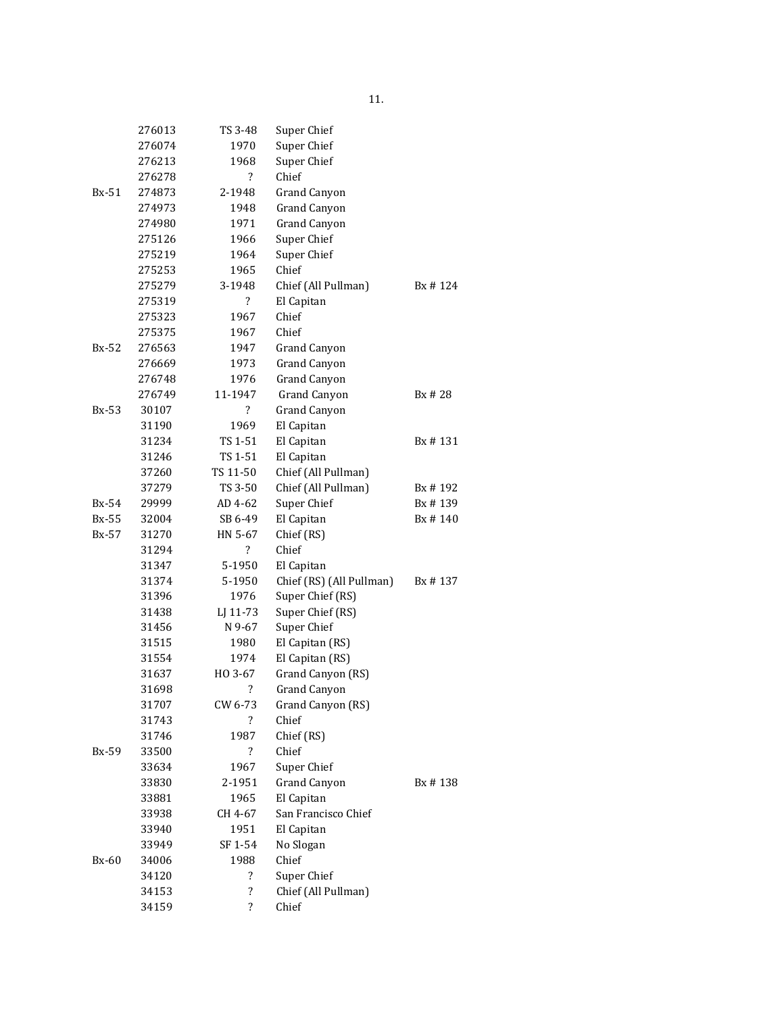|              | 276013 | TS 3-48                  | Super Chief              |          |
|--------------|--------|--------------------------|--------------------------|----------|
|              | 276074 | 1970                     | Super Chief              |          |
|              | 276213 | 1968                     | Super Chief              |          |
|              | 276278 | ?                        | Chief                    |          |
| $Bx-51$      | 274873 | 2-1948                   | <b>Grand Canyon</b>      |          |
|              | 274973 | 1948                     | <b>Grand Canyon</b>      |          |
|              | 274980 | 1971                     | <b>Grand Canyon</b>      |          |
|              | 275126 | 1966                     | Super Chief              |          |
|              | 275219 | 1964                     | Super Chief              |          |
|              | 275253 | 1965                     | Chief                    |          |
|              | 275279 | 3-1948                   | Chief (All Pullman)      | Bx # 124 |
|              | 275319 | $\overline{\mathcal{L}}$ | El Capitan               |          |
|              | 275323 | 1967                     | Chief                    |          |
|              | 275375 | 1967                     | Chief                    |          |
| $Bx-52$      | 276563 | 1947                     | Grand Canyon             |          |
|              | 276669 | 1973                     | Grand Canyon             |          |
|              | 276748 | 1976                     | <b>Grand Canyon</b>      |          |
|              | 276749 | 11-1947                  | <b>Grand Canyon</b>      | Bx # 28  |
| Bx-53        | 30107  | $\ddot{?}$               | Grand Canyon             |          |
|              | 31190  | 1969                     | El Capitan               |          |
|              | 31234  | TS 1-51                  | El Capitan               | Bx # 131 |
|              | 31246  | TS 1-51                  | El Capitan               |          |
|              | 37260  | TS 11-50                 | Chief (All Pullman)      |          |
|              | 37279  | TS 3-50                  | Chief (All Pullman)      | Bx # 192 |
| Bx-54        | 29999  | AD 4-62                  | Super Chief              | Bx #139  |
| <b>Bx-55</b> | 32004  | SB 6-49                  | El Capitan               | Bx #140  |
| $Bx-57$      | 31270  | HN 5-67                  | Chief (RS)               |          |
|              | 31294  | $\overline{\mathcal{E}}$ | Chief                    |          |
|              | 31347  | 5-1950                   | El Capitan               |          |
|              | 31374  | 5-1950                   | Chief (RS) (All Pullman) | Bx # 137 |
|              | 31396  | 1976                     | Super Chief (RS)         |          |
|              | 31438  | LJ 11-73                 | Super Chief (RS)         |          |
|              | 31456  | N 9-67                   | Super Chief              |          |
|              | 31515  | 1980                     | El Capitan (RS)          |          |
|              | 31554  | 1974                     | El Capitan (RS)          |          |
|              | 31637  | HO 3-67                  | Grand Canyon (RS)        |          |
|              | 31698  | $\overline{\cdot}$       | Grand Canyon             |          |
|              | 31707  | CW 6-73                  | Grand Canyon (RS)        |          |
|              | 31743  | $\overline{\mathcal{L}}$ | Chief                    |          |
|              | 31746  | 1987                     | Chief (RS)               |          |
| Bx-59        | 33500  | $\overline{\mathcal{L}}$ | Chief                    |          |
|              | 33634  | 1967                     | Super Chief              |          |
|              | 33830  | 2-1951                   | <b>Grand Canyon</b>      | Bx #138  |
|              | 33881  | 1965                     | El Capitan               |          |
|              | 33938  | CH 4-67                  | San Francisco Chief      |          |
|              | 33940  | 1951                     | El Capitan               |          |
|              | 33949  | SF 1-54                  | No Slogan                |          |
| $Bx-60$      | 34006  | 1988                     | Chief                    |          |
|              | 34120  | ?                        | Super Chief              |          |
|              | 34153  | $\overline{\cdot}$       | Chief (All Pullman)      |          |
|              | 34159  | $\overline{\mathcal{E}}$ | Chief                    |          |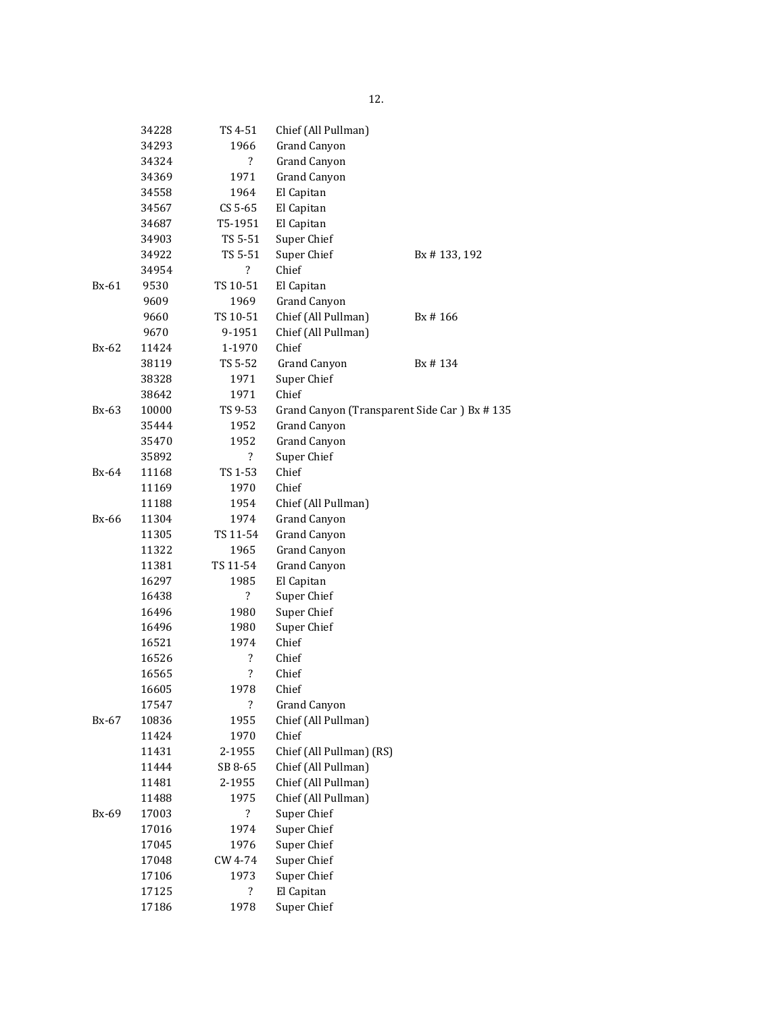|              | 34228 | TS 4-51                  | Chief (All Pullman)      |                                             |
|--------------|-------|--------------------------|--------------------------|---------------------------------------------|
|              | 34293 | 1966                     | <b>Grand Canyon</b>      |                                             |
|              | 34324 | $\overline{\mathcal{L}}$ | <b>Grand Canyon</b>      |                                             |
|              | 34369 | 1971                     | <b>Grand Canyon</b>      |                                             |
|              | 34558 | 1964                     | El Capitan               |                                             |
|              | 34567 | $CS 5-65$                | El Capitan               |                                             |
|              | 34687 | T5-1951                  | El Capitan               |                                             |
|              | 34903 | TS 5-51                  | Super Chief              |                                             |
|              | 34922 | TS 5-51                  | Super Chief              | Bx #133, 192                                |
|              | 34954 | $\overline{\cdot}$       | Chief                    |                                             |
| Bx-61        | 9530  | TS 10-51                 | El Capitan               |                                             |
|              | 9609  | 1969                     | <b>Grand Canyon</b>      |                                             |
|              | 9660  | TS 10-51                 | Chief (All Pullman)      | Bx #166                                     |
|              | 9670  | 9-1951                   | Chief (All Pullman)      |                                             |
| $Bx-62$      | 11424 | 1-1970                   | Chief                    |                                             |
|              | 38119 | TS 5-52                  | <b>Grand Canyon</b>      | Bx #134                                     |
|              | 38328 | 1971                     | Super Chief              |                                             |
|              | 38642 | 1971                     | Chief                    |                                             |
| Bx-63        | 10000 | TS 9-53                  |                          | Grand Canyon (Transparent Side Car) Bx #135 |
|              | 35444 | 1952                     | <b>Grand Canyon</b>      |                                             |
|              | 35470 | 1952                     | <b>Grand Canyon</b>      |                                             |
|              | 35892 | $\overline{\mathcal{E}}$ | Super Chief              |                                             |
| Bx-64        | 11168 | TS 1-53                  | Chief                    |                                             |
|              | 11169 | 1970                     | Chief                    |                                             |
|              | 11188 | 1954                     | Chief (All Pullman)      |                                             |
| <b>Bx-66</b> | 11304 | 1974                     | Grand Canyon             |                                             |
|              | 11305 | TS 11-54                 | <b>Grand Canyon</b>      |                                             |
|              | 11322 | 1965                     | <b>Grand Canyon</b>      |                                             |
|              | 11381 | TS 11-54                 | <b>Grand Canyon</b>      |                                             |
|              | 16297 | 1985                     | El Capitan               |                                             |
|              | 16438 | ?                        | Super Chief              |                                             |
|              | 16496 | 1980                     | Super Chief              |                                             |
|              | 16496 | 1980                     | Super Chief              |                                             |
|              | 16521 | 1974                     | Chief                    |                                             |
|              | 16526 | $\overline{\mathcal{E}}$ | Chief                    |                                             |
|              | 16565 | $\overline{\mathcal{E}}$ | Chief                    |                                             |
|              | 16605 | 1978                     | Chief                    |                                             |
|              | 17547 | $\overline{\mathcal{E}}$ | <b>Grand Canyon</b>      |                                             |
| Bx-67        | 10836 | 1955                     | Chief (All Pullman)      |                                             |
|              | 11424 | 1970                     | Chief                    |                                             |
|              | 11431 | 2-1955                   | Chief (All Pullman) (RS) |                                             |
|              | 11444 | SB 8-65                  | Chief (All Pullman)      |                                             |
|              | 11481 | 2-1955                   | Chief (All Pullman)      |                                             |
|              | 11488 | 1975                     | Chief (All Pullman)      |                                             |
| Bx-69        | 17003 | $\ddot{?}$               | Super Chief              |                                             |
|              | 17016 | 1974                     | Super Chief              |                                             |
|              | 17045 | 1976                     | Super Chief              |                                             |
|              | 17048 | CW 4-74                  | Super Chief              |                                             |
|              | 17106 | 1973                     | Super Chief              |                                             |
|              | 17125 | $\overline{\mathcal{L}}$ | El Capitan               |                                             |
|              | 17186 | 1978                     | Super Chief              |                                             |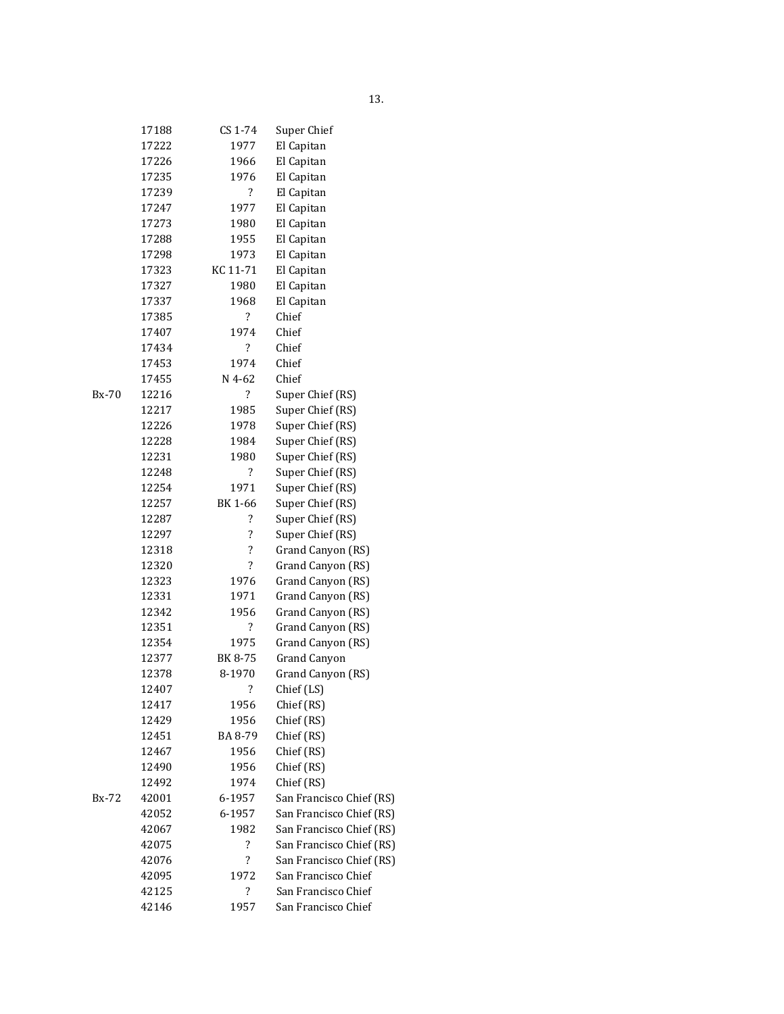|       | 17188 | CS 1-74                  | Super Chief              |
|-------|-------|--------------------------|--------------------------|
|       | 17222 | 1977                     | El Capitan               |
|       | 17226 | 1966                     | El Capitan               |
|       | 17235 | 1976                     | El Capitan               |
|       | 17239 | ?                        | El Capitan               |
|       | 17247 | 1977                     | El Capitan               |
|       | 17273 | 1980                     | El Capitan               |
|       | 17288 | 1955                     | El Capitan               |
|       | 17298 | 1973                     | El Capitan               |
|       | 17323 | KC 11-71                 | El Capitan               |
|       | 17327 | 1980                     | El Capitan               |
|       | 17337 | 1968                     | El Capitan               |
|       | 17385 | $\overline{\mathcal{E}}$ | Chief                    |
|       | 17407 | 1974                     | Chief                    |
|       | 17434 | $\ddot{?}$               | Chief                    |
|       | 17453 | 1974                     | Chief                    |
|       | 17455 | N 4-62                   | Chief                    |
| Bx-70 | 12216 | $\overline{\mathcal{E}}$ | Super Chief (RS)         |
|       | 12217 | 1985                     | Super Chief (RS)         |
|       | 12226 | 1978                     | Super Chief (RS)         |
|       | 12228 | 1984                     | Super Chief (RS)         |
|       | 12231 | 1980                     | Super Chief (RS)         |
|       | 12248 | ?                        | Super Chief (RS)         |
|       | 12254 | 1971                     | Super Chief (RS)         |
|       | 12257 | BK 1-66                  | Super Chief (RS)         |
|       | 12287 | ?                        | Super Chief (RS)         |
|       | 12297 | ?                        | Super Chief (RS)         |
|       | 12318 | ?                        | Grand Canyon (RS)        |
|       | 12320 | $\overline{\mathcal{E}}$ | Grand Canyon (RS)        |
|       | 12323 | 1976                     | Grand Canyon (RS)        |
|       | 12331 | 1971                     | Grand Canyon (RS)        |
|       | 12342 | 1956                     | Grand Canyon (RS)        |
|       | 12351 | ?                        | Grand Canyon (RS)        |
|       | 12354 | 1975                     | Grand Canyon (RS)        |
|       | 12377 | BK 8-75                  | <b>Grand Canyon</b>      |
|       | 12378 | 8-1970                   | Grand Canyon (RS)        |
|       | 12407 | $\overline{\mathbf{?}}$  | Chief (LS)               |
|       | 12417 | 1956                     | Chief (RS)               |
|       | 12429 | 1956                     | Chief (RS)               |
|       | 12451 | BA 8-79                  | Chief (RS)               |
|       | 12467 | 1956                     | Chief (RS)               |
|       | 12490 | 1956                     | Chief (RS)               |
|       | 12492 | 1974                     | Chief (RS)               |
| Bx-72 | 42001 | 6-1957                   | San Francisco Chief (RS) |
|       | 42052 | 6-1957                   | San Francisco Chief (RS) |
|       | 42067 | 1982                     | San Francisco Chief (RS) |
|       | 42075 | $\overline{\mathcal{E}}$ | San Francisco Chief (RS) |
|       | 42076 | $\ddot{?}$               | San Francisco Chief (RS) |
|       | 42095 | 1972                     | San Francisco Chief      |
|       | 42125 | $\overline{\mathcal{E}}$ | San Francisco Chief      |
|       | 42146 | 1957                     | San Francisco Chief      |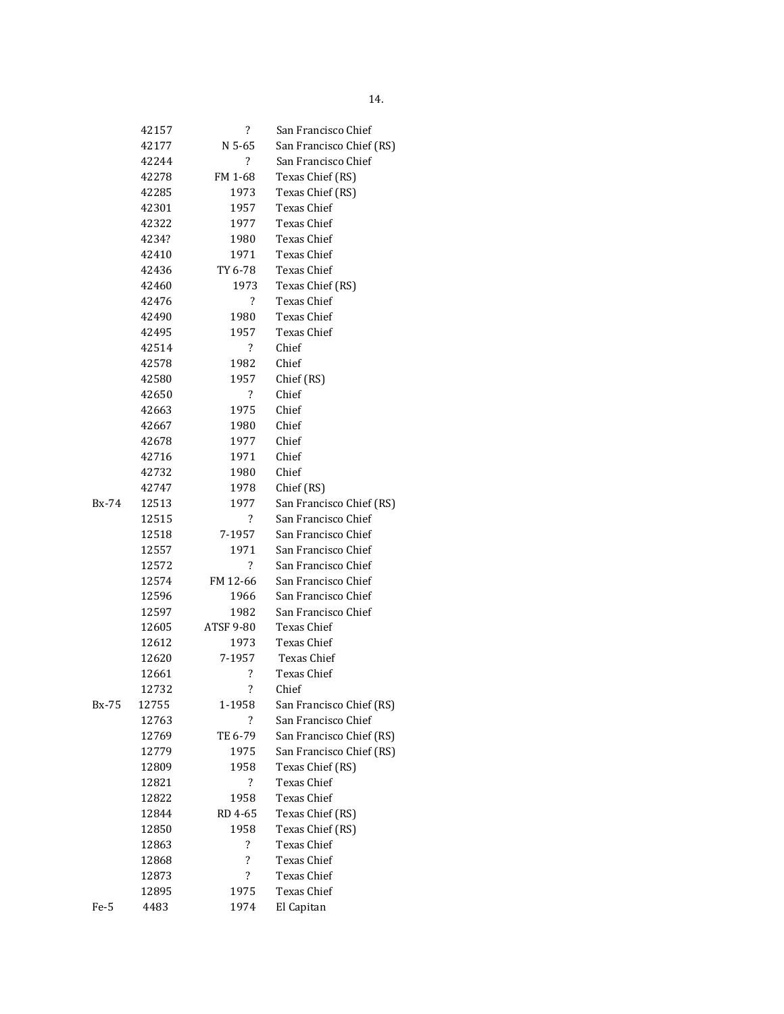|       | 42157 | $\overline{\cdot}$       | San Francisco Chief      |
|-------|-------|--------------------------|--------------------------|
|       | 42177 | N 5-65                   | San Francisco Chief (RS) |
|       | 42244 | $\overline{?}$           | San Francisco Chief      |
|       | 42278 | FM 1-68                  | Texas Chief (RS)         |
|       | 42285 | 1973                     | Texas Chief (RS)         |
|       | 42301 | 1957                     | <b>Texas Chief</b>       |
|       | 42322 | 1977                     | Texas Chief              |
|       | 4234? | 1980                     | Texas Chief              |
|       | 42410 | 1971                     | <b>Texas Chief</b>       |
|       | 42436 | TY 6-78                  | Texas Chief              |
|       | 42460 | 1973                     | Texas Chief (RS)         |
|       | 42476 | ?                        | <b>Texas Chief</b>       |
|       | 42490 | 1980                     | Texas Chief              |
|       | 42495 | 1957                     | Texas Chief              |
|       | 42514 | ?                        | Chief                    |
|       | 42578 | 1982                     | Chief                    |
|       | 42580 | 1957                     | Chief (RS)               |
|       | 42650 | $\overline{?}$           | Chief                    |
|       | 42663 | 1975                     | Chief                    |
|       | 42667 | 1980                     | Chief                    |
|       | 42678 | 1977                     | Chief                    |
|       | 42716 | 1971                     | Chief                    |
|       | 42732 | 1980                     | Chief                    |
|       | 42747 | 1978                     | Chief (RS)               |
| Bx-74 | 12513 | 1977                     | San Francisco Chief (RS) |
|       | 12515 | $\overline{?}$           | San Francisco Chief      |
|       | 12518 | 7-1957                   | San Francisco Chief      |
|       | 12557 | 1971                     | San Francisco Chief      |
|       | 12572 | $\overline{?}$           | San Francisco Chief      |
|       | 12574 | FM 12-66                 | San Francisco Chief      |
|       | 12596 | 1966                     | San Francisco Chief      |
|       | 12597 | 1982                     | San Francisco Chief      |
|       | 12605 | ATSF 9-80                | Texas Chief              |
|       | 12612 | 1973                     | Texas Chief              |
|       | 12620 | 7-1957                   | Texas Chief              |
|       | 12661 | ?                        | Texas Chief              |
|       | 12732 | ?                        | Chief                    |
| Bx-75 | 12755 | 1-1958                   | San Francisco Chief (RS) |
|       | 12763 | $\overline{\cdot}$       | San Francisco Chief      |
|       | 12769 | TE 6-79                  | San Francisco Chief (RS) |
|       | 12779 | 1975                     | San Francisco Chief (RS) |
|       | 12809 | 1958                     | Texas Chief (RS)         |
|       | 12821 | $\overline{\mathcal{E}}$ | <b>Texas Chief</b>       |
|       | 12822 | 1958                     | Texas Chief              |
|       | 12844 | RD 4-65                  | Texas Chief (RS)         |
|       | 12850 | 1958                     | Texas Chief (RS)         |
|       | 12863 | $\overline{\cdot}$       | <b>Texas Chief</b>       |
|       | 12868 | $\overline{\cdot}$       | Texas Chief              |
|       | 12873 | $\overline{\cdot}$       | Texas Chief              |
|       | 12895 | 1975                     | Texas Chief              |
| Fe-5  | 4483  | 1974                     | El Capitan               |
|       |       |                          |                          |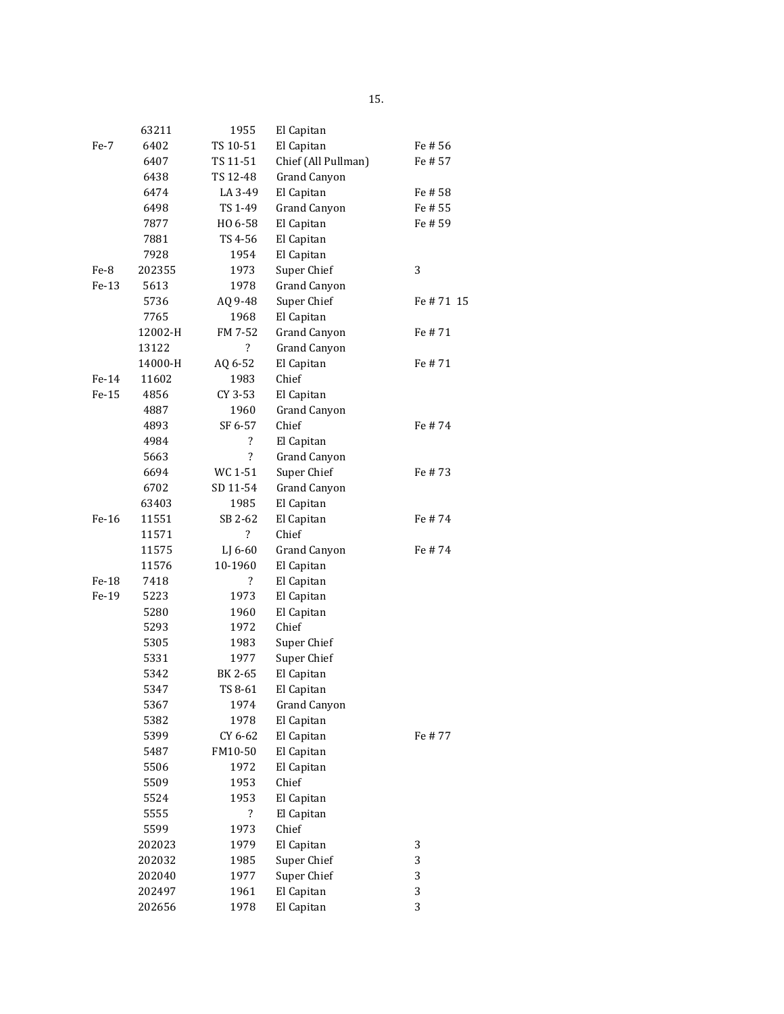|         | 63211   | 1955                     | El Capitan          |            |
|---------|---------|--------------------------|---------------------|------------|
| Fe-7    | 6402    | TS 10-51                 | El Capitan          | Fe # 56    |
|         | 6407    | TS 11-51                 | Chief (All Pullman) | Fe # 57    |
|         | 6438    | TS 12-48                 | <b>Grand Canyon</b> |            |
|         | 6474    | LA 3-49                  | El Capitan          | Fe # 58    |
|         | 6498    | TS 1-49                  | <b>Grand Canyon</b> | Fe # 55    |
|         | 7877    | HO 6-58                  | El Capitan          | Fe # 59    |
|         | 7881    | TS 4-56                  | El Capitan          |            |
|         | 7928    | 1954                     | El Capitan          |            |
| Fe-8    | 202355  | 1973                     | Super Chief         | 3          |
| $Fe-13$ | 5613    | 1978                     | <b>Grand Canyon</b> |            |
|         | 5736    | AQ 9-48                  | Super Chief         | Fe # 71 15 |
|         | 7765    | 1968                     | El Capitan          |            |
|         | 12002-H | FM 7-52                  | <b>Grand Canyon</b> | Fe # 71    |
|         | 13122   | $\overline{\mathcal{L}}$ | <b>Grand Canyon</b> |            |
|         | 14000-H | AQ 6-52                  | El Capitan          | Fe # 71    |
| $Fe-14$ | 11602   | 1983                     | Chief               |            |
| Fe-15   | 4856    | CY 3-53                  | El Capitan          |            |
|         | 4887    | 1960                     | <b>Grand Canyon</b> |            |
|         | 4893    | SF 6-57                  | Chief               | Fe #74     |
|         | 4984    | $\overline{\mathbf{?}}$  | El Capitan          |            |
|         | 5663    | $\overline{\mathcal{L}}$ | <b>Grand Canyon</b> |            |
|         | 6694    | WC 1-51                  | Super Chief         | Fe # 73    |
|         | 6702    | SD 11-54                 | <b>Grand Canyon</b> |            |
|         | 63403   | 1985                     | El Capitan          |            |
| Fe-16   | 11551   | SB 2-62                  | El Capitan          | Fe #74     |
|         | 11571   | ?                        | Chief               |            |
|         | 11575   | LJ 6-60                  | Grand Canyon        | Fe # 74    |
|         | 11576   | 10-1960                  | El Capitan          |            |
| Fe-18   | 7418    | ?                        | El Capitan          |            |
| Fe-19   | 5223    | 1973                     | El Capitan          |            |
|         | 5280    | 1960                     | El Capitan          |            |
|         | 5293    | 1972                     | Chief               |            |
|         | 5305    | 1983                     | Super Chief         |            |
|         | 5331    | 1977                     | Super Chief         |            |
|         | 5342    | BK 2-65                  | El Capitan          |            |
|         | 5347    | TS 8-61                  | El Capitan          |            |
|         | 5367    | 1974                     | <b>Grand Canyon</b> |            |
|         | 5382    | 1978                     | El Capitan          |            |
|         | 5399    | CY 6-62                  | El Capitan          | Fe # 77    |
|         | 5487    | FM10-50                  | El Capitan          |            |
|         | 5506    | 1972                     | El Capitan          |            |
|         | 5509    | 1953                     | Chief               |            |
|         | 5524    | 1953                     | El Capitan          |            |
|         | 5555    | $\overline{\mathcal{E}}$ | El Capitan          |            |
|         | 5599    | 1973                     | Chief               |            |
|         | 202023  | 1979                     | El Capitan          | 3          |
|         | 202032  | 1985                     | Super Chief         | 3          |
|         | 202040  | 1977                     | Super Chief         | 3          |
|         | 202497  | 1961                     | El Capitan          | 3          |
|         | 202656  | 1978                     | El Capitan          | 3          |
|         |         |                          |                     |            |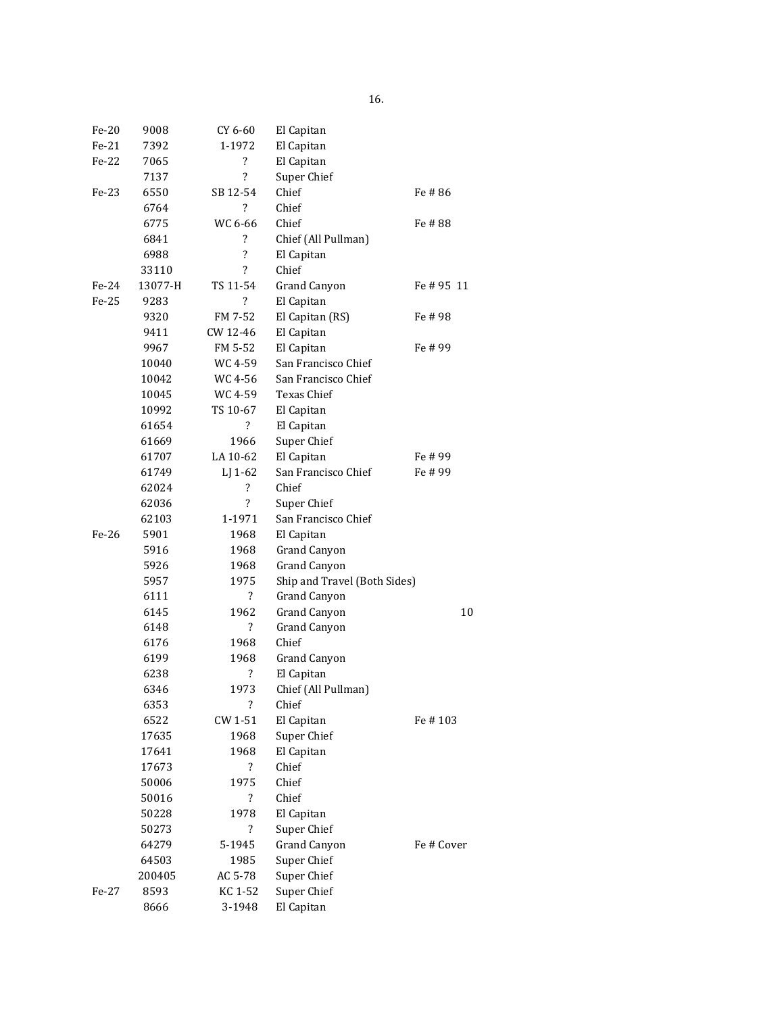| Fe-20   | 9008    | CY 6-60                  | El Capitan                   |            |
|---------|---------|--------------------------|------------------------------|------------|
| Fe-21   | 7392    | 1-1972                   | El Capitan                   |            |
| Fe-22   | 7065    | ?                        | El Capitan                   |            |
|         | 7137    | $\overline{\mathcal{L}}$ | Super Chief                  |            |
| Fe-23   | 6550    | SB 12-54                 | Chief                        | Fe # 86    |
|         | 6764    | ?                        | Chief                        |            |
|         | 6775    | WC 6-66                  | Chief                        | Fe # 88    |
|         | 6841    | ?                        | Chief (All Pullman)          |            |
|         | 6988    | $\overline{\cdot}$       | El Capitan                   |            |
|         | 33110   | $\overline{\mathcal{L}}$ | Chief                        |            |
| Fe-24   | 13077-H | TS 11-54                 | <b>Grand Canyon</b>          | Fe # 95 11 |
| Fe-25   | 9283    | ?                        | El Capitan                   |            |
|         | 9320    | FM 7-52                  | El Capitan (RS)              | Fe # 98    |
|         | 9411    | CW 12-46                 | El Capitan                   |            |
|         | 9967    | FM 5-52                  | El Capitan                   | Fe # 99    |
|         | 10040   | WC 4-59                  | San Francisco Chief          |            |
|         | 10042   | WC 4-56                  | San Francisco Chief          |            |
|         | 10045   | WC 4-59                  | Texas Chief                  |            |
|         | 10992   | TS 10-67                 | El Capitan                   |            |
|         | 61654   | ?                        | El Capitan                   |            |
|         | 61669   | 1966                     | Super Chief                  |            |
|         | 61707   | LA 10-62                 | El Capitan                   | Fe # 99    |
|         | 61749   | LJ 1-62                  | San Francisco Chief          | Fe # 99    |
|         | 62024   | $\overline{\cdot}$       | Chief                        |            |
|         | 62036   | $\overline{\cdot}$       | Super Chief                  |            |
|         | 62103   | 1-1971                   | San Francisco Chief          |            |
| $Fe-26$ | 5901    | 1968                     | El Capitan                   |            |
|         | 5916    | 1968                     | Grand Canyon                 |            |
|         | 5926    | 1968                     | <b>Grand Canyon</b>          |            |
|         | 5957    | 1975                     | Ship and Travel (Both Sides) |            |
|         | 6111    | ?                        | Grand Canyon                 |            |
|         | 6145    | 1962                     | <b>Grand Canyon</b>          | 10         |
|         | 6148    | $\overline{\mathcal{L}}$ | <b>Grand Canyon</b>          |            |
|         | 6176    | 1968                     | Chief                        |            |
|         | 6199    | 1968                     | Grand Canyon                 |            |
|         | 6238    | ?                        | El Capitan                   |            |
|         | 6346    | 1973                     | Chief (All Pullman)          |            |
|         | 6353    | $\overline{\mathcal{E}}$ | Chief                        |            |
|         | 6522    | CW 1-51                  | El Capitan                   | Fe # 103   |
|         | 17635   | 1968                     | Super Chief                  |            |
|         | 17641   | 1968                     | El Capitan                   |            |
|         | 17673   | $\overline{\mathcal{L}}$ | Chief                        |            |
|         | 50006   | 1975                     | Chief                        |            |
|         | 50016   | $\overline{\mathcal{L}}$ | Chief                        |            |
|         | 50228   | 1978                     | El Capitan                   |            |
|         | 50273   | ?                        | Super Chief                  |            |
|         | 64279   | 5-1945                   | <b>Grand Canyon</b>          | Fe # Cover |
|         | 64503   | 1985                     | Super Chief                  |            |
|         | 200405  | AC 5-78                  | Super Chief                  |            |
| Fe-27   | 8593    | KC 1-52                  | Super Chief                  |            |
|         | 8666    | 3-1948                   | El Capitan                   |            |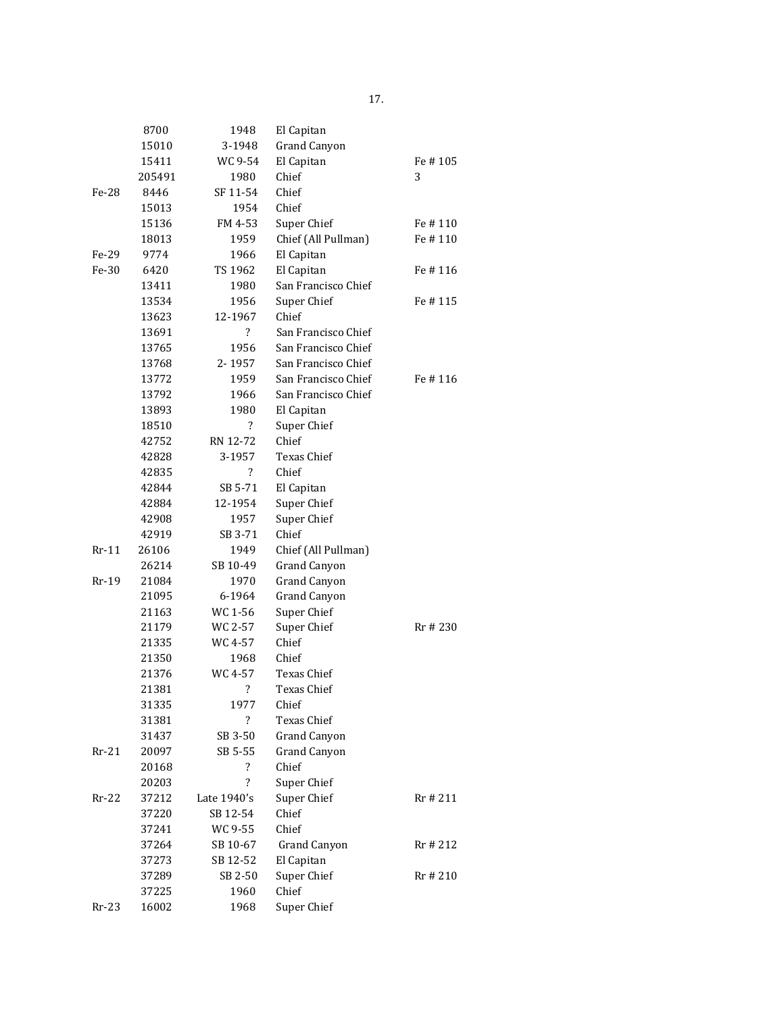|         | 8700   | 1948                               | El Capitan           |          |
|---------|--------|------------------------------------|----------------------|----------|
|         | 15010  | 3-1948                             | Grand Canyon         |          |
|         | 15411  | WC 9-54                            | El Capitan           | Fe#105   |
|         | 205491 | 1980                               | Chief                | 3        |
| Fe-28   | 8446   | SF 11-54                           | Chief                |          |
|         | 15013  | 1954                               | Chief                |          |
|         | 15136  | FM 4-53                            | Super Chief          | Fe # 110 |
|         | 18013  | 1959                               | Chief (All Pullman)  | Fe # 110 |
| Fe-29   | 9774   | 1966                               | El Capitan           |          |
| Fe-30   | 6420   | TS 1962                            | El Capitan           | Fe # 116 |
|         | 13411  | 1980                               | San Francisco Chief  |          |
|         | 13534  | 1956                               | Super Chief          | Fe # 115 |
|         | 13623  | 12-1967                            | Chief                |          |
|         | 13691  | ?                                  | San Francisco Chief  |          |
|         | 13765  | 1956                               | San Francisco Chief  |          |
|         | 13768  | 2-1957                             | San Francisco Chief  |          |
|         | 13772  | 1959                               | San Francisco Chief  | Fe # 116 |
|         | 13792  | 1966                               | San Francisco Chief  |          |
|         | 13893  | 1980                               |                      |          |
|         |        | ?                                  | El Capitan           |          |
|         | 18510  |                                    | Super Chief<br>Chief |          |
|         | 42752  | RN 12-72                           |                      |          |
|         | 42828  | 3-1957<br>$\overline{\mathcal{L}}$ | Texas Chief          |          |
|         | 42835  |                                    | Chief                |          |
|         | 42844  | SB 5-71                            | El Capitan           |          |
|         | 42884  | 12-1954                            | Super Chief          |          |
|         | 42908  | 1957                               | Super Chief          |          |
|         | 42919  | SB 3-71                            | Chief                |          |
| $Rr-11$ | 26106  | 1949                               | Chief (All Pullman)  |          |
|         | 26214  | SB 10-49                           | Grand Canyon         |          |
| Rr-19   | 21084  | 1970                               | Grand Canyon         |          |
|         | 21095  | 6-1964                             | Grand Canyon         |          |
|         | 21163  | WC 1-56                            | Super Chief          |          |
|         | 21179  | WC 2-57                            | Super Chief          | Rr # 230 |
|         | 21335  | WC 4-57                            | Chief                |          |
|         | 21350  | 1968                               | Chief                |          |
|         | 21376  | WC 4-57                            | Texas Chief          |          |
|         | 21381  | $\overline{\mathcal{L}}$           | Texas Chief          |          |
|         | 31335  | 1977                               | Chief                |          |
|         | 31381  | $\overline{\mathcal{E}}$           | Texas Chief          |          |
|         | 31437  | SB 3-50                            | <b>Grand Canyon</b>  |          |
| $Rr-21$ | 20097  | SB 5-55                            | Grand Canyon         |          |
|         | 20168  | ?                                  | Chief                |          |
|         | 20203  | $\overline{\mathcal{L}}$           | Super Chief          |          |
| $Rr-22$ | 37212  | Late 1940's                        | Super Chief          | Rr # 211 |
|         | 37220  | SB 12-54                           | Chief                |          |
|         | 37241  | WC 9-55                            | Chief                |          |
|         | 37264  | SB 10-67                           | Grand Canyon         | Rr # 212 |
|         | 37273  | SB 12-52                           | El Capitan           |          |
|         | 37289  | SB 2-50                            | Super Chief          | Rr # 210 |
|         | 37225  | 1960                               | Chief                |          |
| Rr-23   | 16002  | 1968                               | Super Chief          |          |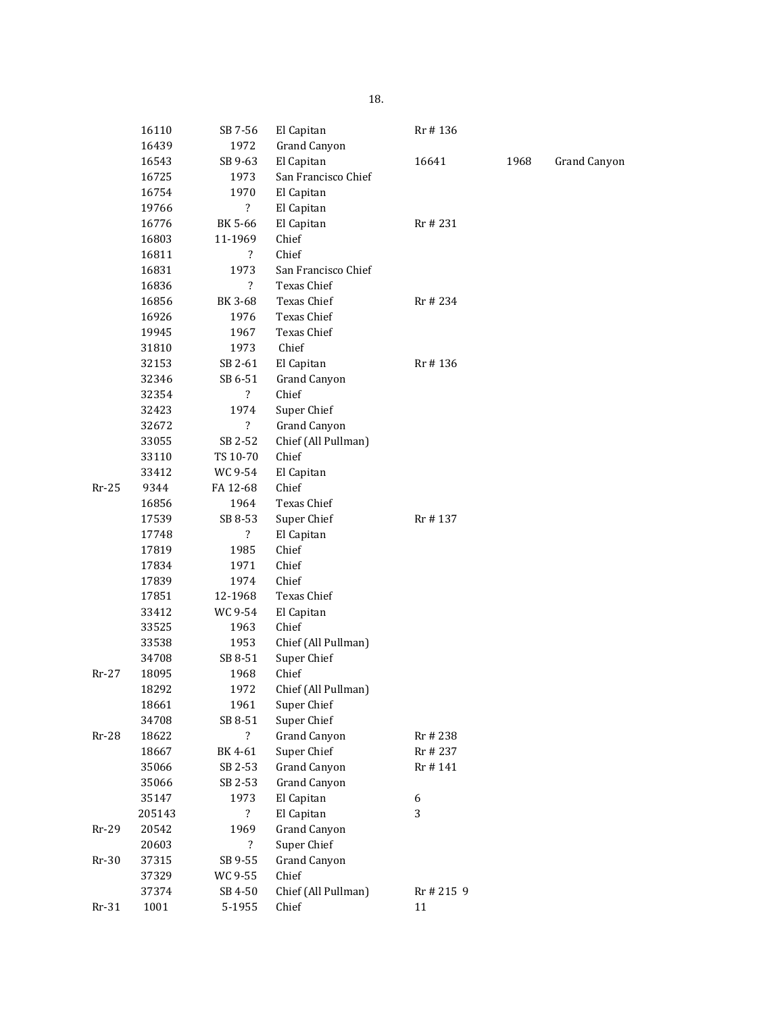|         | 16110  | SB 7-56                  | El Capitan          | Rr #136    |      |              |
|---------|--------|--------------------------|---------------------|------------|------|--------------|
|         | 16439  | 1972                     | <b>Grand Canyon</b> |            |      |              |
|         | 16543  | SB 9-63                  | El Capitan          | 16641      | 1968 | Grand Canyon |
|         | 16725  | 1973                     | San Francisco Chief |            |      |              |
|         | 16754  | 1970                     | El Capitan          |            |      |              |
|         | 19766  | $\overline{\mathcal{E}}$ | El Capitan          |            |      |              |
|         | 16776  | BK 5-66                  | El Capitan          | Rr # 231   |      |              |
|         | 16803  | 11-1969                  | Chief               |            |      |              |
|         | 16811  | $\overline{\mathcal{E}}$ | Chief               |            |      |              |
|         | 16831  | 1973                     | San Francisco Chief |            |      |              |
|         | 16836  | $\overline{\mathcal{E}}$ | Texas Chief         |            |      |              |
|         | 16856  | BK 3-68                  | <b>Texas Chief</b>  | Rr # 234   |      |              |
|         | 16926  | 1976                     | Texas Chief         |            |      |              |
|         | 19945  | 1967                     | Texas Chief         |            |      |              |
|         | 31810  | 1973                     | Chief               |            |      |              |
|         | 32153  | SB 2-61                  | El Capitan          | Rr #136    |      |              |
|         | 32346  | SB 6-51                  | <b>Grand Canyon</b> |            |      |              |
|         | 32354  | $\overline{\mathcal{L}}$ | Chief               |            |      |              |
|         | 32423  | 1974                     | Super Chief         |            |      |              |
|         | 32672  | $\overline{\mathcal{E}}$ | <b>Grand Canyon</b> |            |      |              |
|         | 33055  | SB 2-52                  | Chief (All Pullman) |            |      |              |
|         | 33110  | TS 10-70                 | Chief               |            |      |              |
|         | 33412  | WC 9-54                  | El Capitan          |            |      |              |
| $Rr-25$ | 9344   | FA 12-68                 | Chief               |            |      |              |
|         | 16856  | 1964                     | Texas Chief         |            |      |              |
|         | 17539  | SB 8-53                  | Super Chief         | Rr #137    |      |              |
|         | 17748  | $\ddot{?}$               | El Capitan          |            |      |              |
|         | 17819  | 1985                     | Chief               |            |      |              |
|         | 17834  | 1971                     | Chief               |            |      |              |
|         | 17839  | 1974                     | Chief               |            |      |              |
|         | 17851  | 12-1968                  | Texas Chief         |            |      |              |
|         | 33412  | WC 9-54                  | El Capitan          |            |      |              |
|         | 33525  | 1963                     | Chief               |            |      |              |
|         | 33538  | 1953                     | Chief (All Pullman) |            |      |              |
|         | 34708  | SB 8-51                  | Super Chief         |            |      |              |
| $Rr-27$ | 18095  | 1968                     | Chief               |            |      |              |
|         | 18292  | 1972                     | Chief (All Pullman) |            |      |              |
|         | 18661  | 1961                     | Super Chief         |            |      |              |
|         | 34708  | SB 8-51                  | Super Chief         |            |      |              |
| $Rr-28$ | 18622  | $\overline{?}$           | <b>Grand Canyon</b> | Rr # 238   |      |              |
|         | 18667  | BK 4-61                  | Super Chief         | Rr # 237   |      |              |
|         | 35066  | SB 2-53                  | Grand Canyon        | Rr # 141   |      |              |
|         | 35066  | SB 2-53                  | <b>Grand Canyon</b> |            |      |              |
|         | 35147  | 1973                     | El Capitan          | 6          |      |              |
|         | 205143 | $\overline{\mathcal{E}}$ | El Capitan          | 3          |      |              |
| $Rr-29$ | 20542  | 1969                     | <b>Grand Canyon</b> |            |      |              |
|         | 20603  | $\overline{?}$           | Super Chief         |            |      |              |
| $Rr-30$ | 37315  | SB 9-55                  | Grand Canyon        |            |      |              |
|         | 37329  | WC 9-55                  | Chief               |            |      |              |
|         | 37374  | SB 4-50                  | Chief (All Pullman) | Rr # 215 9 |      |              |
| $Rr-31$ | 1001   | 5-1955                   | Chief               | 11         |      |              |
|         |        |                          |                     |            |      |              |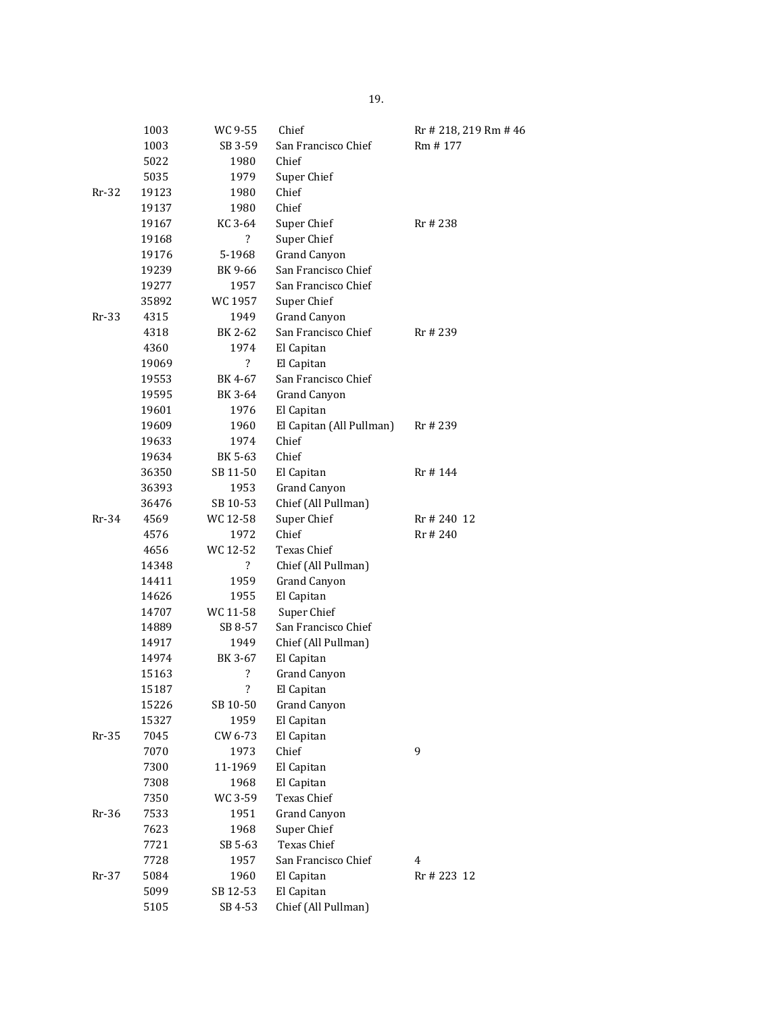|         | 1003  | WC 9-55                  | Chief                    | Rr # 218, 219 Rm # 46 |
|---------|-------|--------------------------|--------------------------|-----------------------|
|         | 1003  | SB 3-59                  | San Francisco Chief      | Rm # 177              |
|         | 5022  | 1980                     | Chief                    |                       |
|         | 5035  | 1979                     | Super Chief              |                       |
| $Rr-32$ | 19123 | 1980                     | Chief                    |                       |
|         | 19137 | 1980                     | Chief                    |                       |
|         | 19167 | KC 3-64                  | Super Chief              | Rr # 238              |
|         | 19168 | $\overline{?}$           | Super Chief              |                       |
|         | 19176 | 5-1968                   | <b>Grand Canyon</b>      |                       |
|         | 19239 | BK 9-66                  | San Francisco Chief      |                       |
|         | 19277 | 1957                     | San Francisco Chief      |                       |
|         | 35892 | WC 1957                  | Super Chief              |                       |
| Rr-33   | 4315  | 1949                     | <b>Grand Canyon</b>      |                       |
|         | 4318  | BK 2-62                  | San Francisco Chief      | Rr # 239              |
|         | 4360  | 1974                     | El Capitan               |                       |
|         | 19069 | $\overline{?}$           | El Capitan               |                       |
|         | 19553 | BK 4-67                  | San Francisco Chief      |                       |
|         | 19595 | BK 3-64                  | <b>Grand Canyon</b>      |                       |
|         | 19601 | 1976                     | El Capitan               |                       |
|         | 19609 | 1960                     | El Capitan (All Pullman) | Rr # 239              |
|         | 19633 | 1974                     | Chief                    |                       |
|         | 19634 | BK 5-63                  | Chief                    |                       |
|         | 36350 | SB 11-50                 | El Capitan               | Rr # 144              |
|         | 36393 | 1953                     | <b>Grand Canyon</b>      |                       |
|         | 36476 | SB 10-53                 | Chief (All Pullman)      |                       |
| Rr-34   | 4569  | WC 12-58                 | Super Chief              | Rr # 240 12           |
|         | 4576  | 1972                     | Chief                    | Rr #240               |
|         | 4656  | WC 12-52                 | Texas Chief              |                       |
|         | 14348 | $\overline{?}$           | Chief (All Pullman)      |                       |
|         | 14411 | 1959                     | <b>Grand Canyon</b>      |                       |
|         | 14626 | 1955                     | El Capitan               |                       |
|         | 14707 | WC 11-58                 | Super Chief              |                       |
|         | 14889 | SB 8-57                  | San Francisco Chief      |                       |
|         | 14917 | 1949                     | Chief (All Pullman)      |                       |
|         | 14974 | BK 3-67                  | El Capitan               |                       |
|         | 15163 | ?                        | <b>Grand Canyon</b>      |                       |
|         | 15187 | $\overline{\mathcal{E}}$ | El Capitan               |                       |
|         | 15226 | SB 10-50                 | Grand Canyon             |                       |
|         | 15327 | 1959                     | El Capitan               |                       |
| $Rr-35$ | 7045  | CW 6-73                  | El Capitan               |                       |
|         | 7070  | 1973                     | Chief                    | 9                     |
|         | 7300  | 11-1969                  | El Capitan               |                       |
|         | 7308  | 1968                     | El Capitan               |                       |
|         | 7350  | WC 3-59                  | <b>Texas Chief</b>       |                       |
| $Rr-36$ | 7533  | 1951                     | Grand Canyon             |                       |
|         | 7623  | 1968                     | Super Chief              |                       |
|         | 7721  | SB 5-63                  | <b>Texas Chief</b>       |                       |
|         | 7728  | 1957                     | San Francisco Chief      | 4                     |
| $Rr-37$ | 5084  | 1960                     | El Capitan               | Rr # 223 12           |
|         | 5099  | SB 12-53                 | El Capitan               |                       |
|         | 5105  | SB 4-53                  | Chief (All Pullman)      |                       |
|         |       |                          |                          |                       |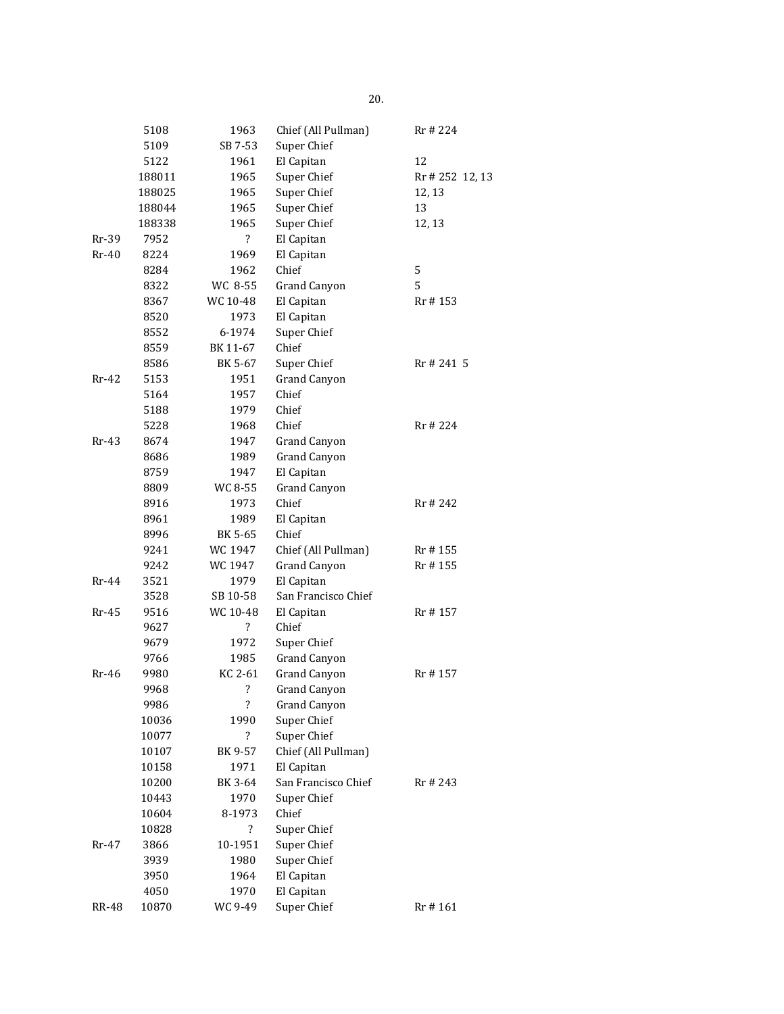|         | 5108   | 1963                     | Chief (All Pullman) | Rr # 224        |
|---------|--------|--------------------------|---------------------|-----------------|
|         | 5109   | SB 7-53                  | Super Chief         |                 |
|         | 5122   | 1961                     | El Capitan          | 12              |
|         | 188011 | 1965                     | Super Chief         | Rr # 252 12, 13 |
|         | 188025 | 1965                     | Super Chief         | 12, 13          |
|         | 188044 | 1965                     | Super Chief         | 13              |
|         | 188338 | 1965                     | Super Chief         | 12, 13          |
| $Rr-39$ | 7952   | $\overline{\mathcal{E}}$ | El Capitan          |                 |
| $Rr-40$ | 8224   | 1969                     | El Capitan          |                 |
|         | 8284   | 1962                     | Chief               | 5               |
|         | 8322   | WC 8-55                  | Grand Canyon        | 5               |
|         | 8367   | WC 10-48                 | El Capitan          | Rr # 153        |
|         | 8520   | 1973                     | El Capitan          |                 |
|         | 8552   | 6-1974                   | Super Chief         |                 |
|         | 8559   | BK 11-67                 | Chief               |                 |
|         | 8586   | BK 5-67                  | Super Chief         | Rr # 241 5      |
| Rr-42   | 5153   | 1951                     | <b>Grand Canyon</b> |                 |
|         | 5164   | 1957                     | Chief               |                 |
|         | 5188   | 1979                     | Chief               |                 |
|         | 5228   | 1968                     | Chief               | Rr # 224        |
| Rr-43   | 8674   | 1947                     | Grand Canyon        |                 |
|         | 8686   | 1989                     | <b>Grand Canyon</b> |                 |
|         | 8759   | 1947                     | El Capitan          |                 |
|         | 8809   | WC 8-55                  | <b>Grand Canyon</b> |                 |
|         | 8916   | 1973                     | Chief               | Rr # 242        |
|         | 8961   | 1989                     | El Capitan          |                 |
|         | 8996   | BK 5-65                  | Chief               |                 |
|         | 9241   | WC 1947                  | Chief (All Pullman) | Rr # 155        |
|         | 9242   | WC 1947                  | Grand Canyon        | Rr # 155        |
| $Rr-44$ | 3521   | 1979                     | El Capitan          |                 |
|         | 3528   | SB 10-58                 | San Francisco Chief |                 |
| $Rr-45$ | 9516   | WC 10-48                 | El Capitan          | Rr # 157        |
|         | 9627   | ?                        | Chief               |                 |
|         | 9679   | 1972                     | Super Chief         |                 |
|         | 9766   | 1985                     | <b>Grand Canyon</b> |                 |
| Rr-46   | 9980   | KC 2-61                  | Grand Canyon        | Rr #157         |
|         | 9968   | $\ddot{?}$               | Grand Canyon        |                 |
|         | 9986   | ?                        | <b>Grand Canyon</b> |                 |
|         | 10036  | 1990                     | Super Chief         |                 |
|         | 10077  | ?                        | Super Chief         |                 |
|         | 10107  | BK 9-57                  | Chief (All Pullman) |                 |
|         | 10158  | 1971                     | El Capitan          |                 |
|         | 10200  | BK 3-64                  | San Francisco Chief | Rr # 243        |
|         | 10443  | 1970                     | Super Chief         |                 |
|         | 10604  | 8-1973                   | Chief               |                 |
|         | 10828  | $\overline{\cdot}$       | Super Chief         |                 |
| Rr-47   | 3866   | 10-1951                  | Super Chief         |                 |
|         | 3939   | 1980                     | Super Chief         |                 |
|         | 3950   | 1964                     | El Capitan          |                 |
|         | 4050   | 1970                     | El Capitan          |                 |
| RR-48   | 10870  | WC 9-49                  | Super Chief         | Rr #161         |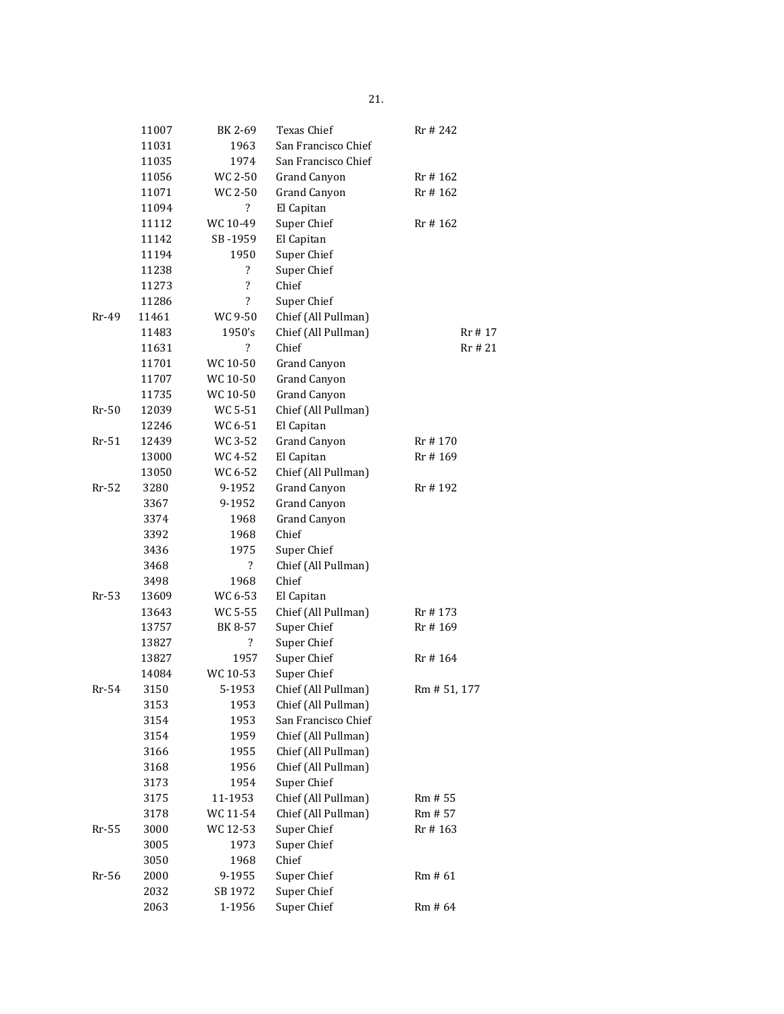|         | 11007 | BK 2-69                  | Texas Chief         | Rr # 242     |
|---------|-------|--------------------------|---------------------|--------------|
|         | 11031 | 1963                     | San Francisco Chief |              |
|         | 11035 | 1974                     | San Francisco Chief |              |
|         | 11056 | WC 2-50                  | Grand Canyon        | Rr #162      |
|         | 11071 | WC 2-50                  | Grand Canyon        | Rr # 162     |
|         | 11094 | ?                        | El Capitan          |              |
|         | 11112 | WC 10-49                 | Super Chief         | Rr #162      |
|         | 11142 | SB -1959                 | El Capitan          |              |
|         | 11194 | 1950                     | Super Chief         |              |
|         | 11238 | ?                        | Super Chief         |              |
|         | 11273 | ?                        | Chief               |              |
|         | 11286 | ?                        | Super Chief         |              |
| Rr-49   | 11461 | WC 9-50                  | Chief (All Pullman) |              |
|         | 11483 | 1950's                   | Chief (All Pullman) | Rr # 17      |
|         | 11631 | ?                        | Chief               | Rr # 21      |
|         | 11701 | WC 10-50                 | Grand Canyon        |              |
|         | 11707 | WC 10-50                 | Grand Canyon        |              |
|         | 11735 | WC 10-50                 | <b>Grand Canyon</b> |              |
| Rr-50   | 12039 | WC 5-51                  | Chief (All Pullman) |              |
|         | 12246 | WC 6-51                  | El Capitan          |              |
| Rr-51   | 12439 | WC 3-52                  | <b>Grand Canyon</b> | Rr #170      |
|         | 13000 | WC 4-52                  | El Capitan          | Rr #169      |
|         | 13050 | WC 6-52                  | Chief (All Pullman) |              |
| $Rr-52$ | 3280  | 9-1952                   | <b>Grand Canyon</b> | Rr #192      |
|         | 3367  | 9-1952                   | <b>Grand Canyon</b> |              |
|         | 3374  | 1968                     | <b>Grand Canyon</b> |              |
|         | 3392  | 1968                     | Chief               |              |
|         | 3436  | 1975                     | Super Chief         |              |
|         | 3468  | $\overline{\mathcal{L}}$ | Chief (All Pullman) |              |
|         | 3498  | 1968                     | Chief               |              |
| Rr-53   | 13609 | WC 6-53                  | El Capitan          |              |
|         | 13643 | WC 5-55                  | Chief (All Pullman) | Rr # 173     |
|         | 13757 | BK 8-57                  | Super Chief         | Rr #169      |
|         | 13827 | ?                        | Super Chief         |              |
|         | 13827 | 1957                     | Super Chief         | Rr #164      |
|         | 14084 | WC 10-53                 | Super Chief         |              |
| Rr-54   | 3150  | 5-1953                   | Chief (All Pullman) | Rm # 51, 177 |
|         | 3153  | 1953                     | Chief (All Pullman) |              |
|         | 3154  | 1953                     | San Francisco Chief |              |
|         | 3154  | 1959                     | Chief (All Pullman) |              |
|         | 3166  | 1955                     | Chief (All Pullman) |              |
|         | 3168  | 1956                     | Chief (All Pullman) |              |
|         | 3173  | 1954                     | Super Chief         |              |
|         | 3175  | 11-1953                  | Chief (All Pullman) | Rm # 55      |
|         | 3178  | WC 11-54                 | Chief (All Pullman) | Rm # 57      |
| $Rr-55$ | 3000  | WC 12-53                 | Super Chief         | Rr #163      |
|         | 3005  | 1973                     | Super Chief         |              |
|         | 3050  | 1968                     | Chief               |              |
| $Rr-56$ | 2000  | 9-1955                   | Super Chief         | Rm # 61      |
|         | 2032  | SB 1972                  | Super Chief         |              |
|         | 2063  | 1-1956                   | Super Chief         | Rm # 64      |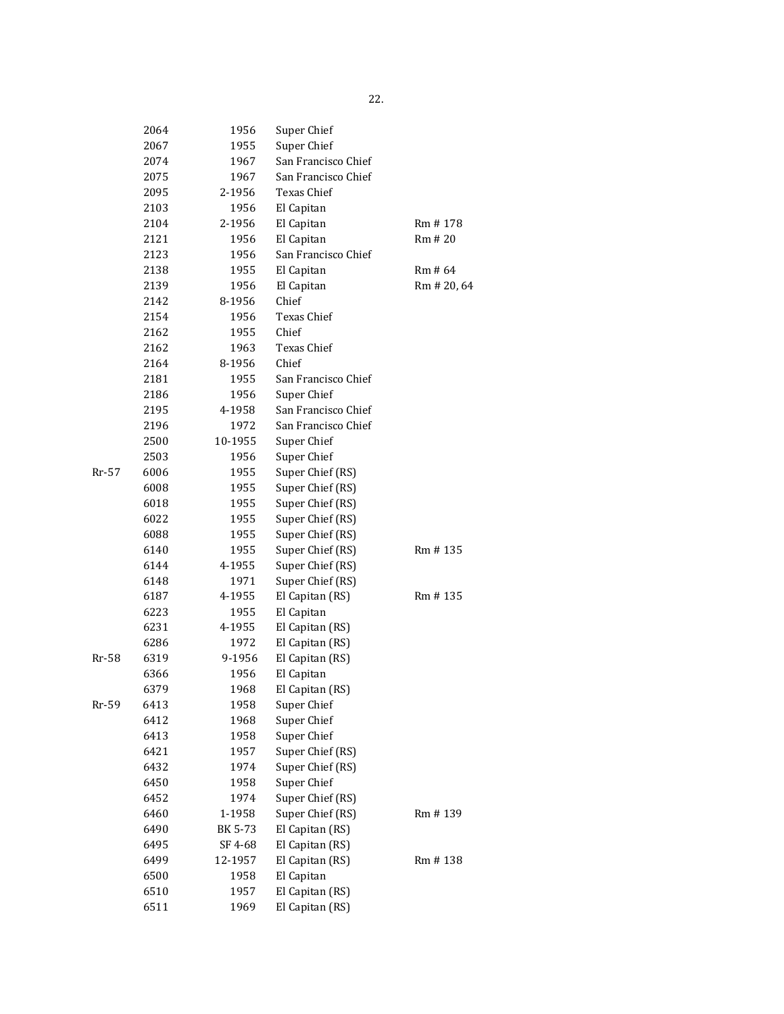|       | 2064 | 1956    | Super Chief         |             |
|-------|------|---------|---------------------|-------------|
|       | 2067 | 1955    | Super Chief         |             |
|       | 2074 | 1967    | San Francisco Chief |             |
|       | 2075 | 1967    | San Francisco Chief |             |
|       | 2095 | 2-1956  | <b>Texas Chief</b>  |             |
|       | 2103 | 1956    | El Capitan          |             |
|       | 2104 | 2-1956  | El Capitan          | Rm #178     |
|       | 2121 | 1956    | El Capitan          | Rm # 20     |
|       | 2123 | 1956    | San Francisco Chief |             |
|       | 2138 | 1955    | El Capitan          | Rm # 64     |
|       | 2139 | 1956    | El Capitan          | Rm # 20, 64 |
|       | 2142 | 8-1956  | Chief               |             |
|       | 2154 | 1956    | Texas Chief         |             |
|       | 2162 | 1955    | Chief               |             |
|       | 2162 | 1963    | Texas Chief         |             |
|       | 2164 | 8-1956  | Chief               |             |
|       | 2181 | 1955    | San Francisco Chief |             |
|       | 2186 | 1956    | Super Chief         |             |
|       | 2195 | 4-1958  | San Francisco Chief |             |
|       | 2196 | 1972    | San Francisco Chief |             |
|       | 2500 | 10-1955 | Super Chief         |             |
|       | 2503 | 1956    | Super Chief         |             |
| Rr-57 | 6006 | 1955    | Super Chief (RS)    |             |
|       | 6008 | 1955    | Super Chief (RS)    |             |
|       | 6018 | 1955    | Super Chief (RS)    |             |
|       | 6022 | 1955    | Super Chief (RS)    |             |
|       | 6088 | 1955    | Super Chief (RS)    |             |
|       | 6140 | 1955    | Super Chief (RS)    | Rm #135     |
|       | 6144 | 4-1955  | Super Chief (RS)    |             |
|       | 6148 | 1971    | Super Chief (RS)    |             |
|       | 6187 | 4-1955  | El Capitan (RS)     | Rm #135     |
|       | 6223 | 1955    | El Capitan          |             |
|       | 6231 | 4-1955  | El Capitan (RS)     |             |
|       | 6286 | 1972    | El Capitan (RS)     |             |
| Rr-58 | 6319 | 9-1956  | El Capitan (RS)     |             |
|       | 6366 | 1956    | El Capitan          |             |
|       | 6379 | 1968    | El Capitan (RS)     |             |
| Rr-59 | 6413 | 1958    | Super Chief         |             |
|       | 6412 | 1968    | Super Chief         |             |
|       | 6413 | 1958    | Super Chief         |             |
|       | 6421 | 1957    | Super Chief (RS)    |             |
|       | 6432 | 1974    | Super Chief (RS)    |             |
|       | 6450 | 1958    | Super Chief         |             |
|       | 6452 | 1974    | Super Chief (RS)    |             |
|       | 6460 | 1-1958  | Super Chief (RS)    | Rm #139     |
|       | 6490 | BK 5-73 | El Capitan (RS)     |             |
|       | 6495 | SF 4-68 | El Capitan (RS)     |             |
|       | 6499 | 12-1957 | El Capitan (RS)     | Rm #138     |
|       | 6500 | 1958    | El Capitan          |             |
|       | 6510 | 1957    | El Capitan (RS)     |             |
|       | 6511 | 1969    | El Capitan (RS)     |             |
|       |      |         |                     |             |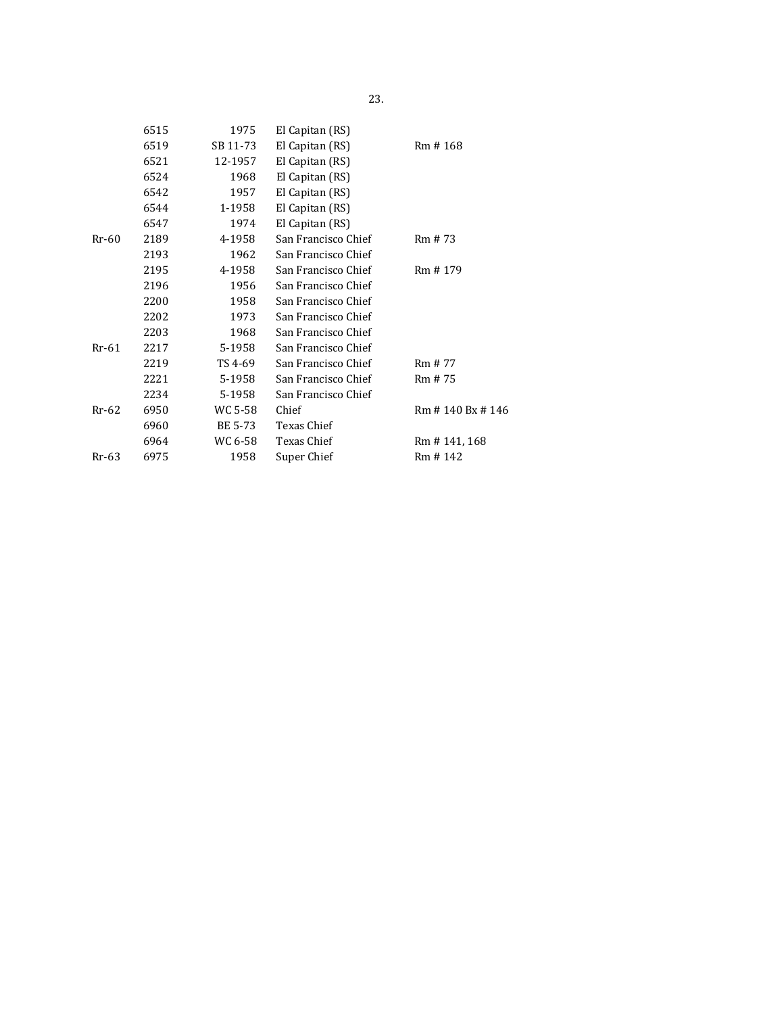| 6515 | 1975     | El Capitan (RS)     |                 |  |
|------|----------|---------------------|-----------------|--|
| 6519 | SB 11-73 | El Capitan (RS)     | Rm #168         |  |
| 6521 | 12-1957  | El Capitan (RS)     |                 |  |
| 6524 | 1968     | El Capitan (RS)     |                 |  |
| 6542 | 1957     | El Capitan (RS)     |                 |  |
| 6544 | 1-1958   | El Capitan (RS)     |                 |  |
| 6547 | 1974     | El Capitan (RS)     |                 |  |
| 2189 | 4-1958   | San Francisco Chief | Rm # 73         |  |
| 2193 | 1962     | San Francisco Chief |                 |  |
| 2195 | 4-1958   | San Francisco Chief | Rm #179         |  |
| 2196 | 1956     | San Francisco Chief |                 |  |
| 2200 | 1958     | San Francisco Chief |                 |  |
| 2202 | 1973     | San Francisco Chief |                 |  |
| 2203 | 1968     | San Francisco Chief |                 |  |
| 2217 | 5-1958   | San Francisco Chief |                 |  |
| 2219 | TS 4-69  | San Francisco Chief | Rm # 77         |  |
| 2221 | 5-1958   | San Francisco Chief | Rm # 75         |  |
| 2234 | 5-1958   | San Francisco Chief |                 |  |
| 6950 | WC 5-58  | Chief               | Rm #140 Bx #146 |  |
| 6960 | BE 5-73  | Texas Chief         |                 |  |
| 6964 | WC 6-58  | Texas Chief         | Rm #141, 168    |  |
| 6975 | 1958     | Super Chief         | Rm #142         |  |
|      |          |                     |                 |  |